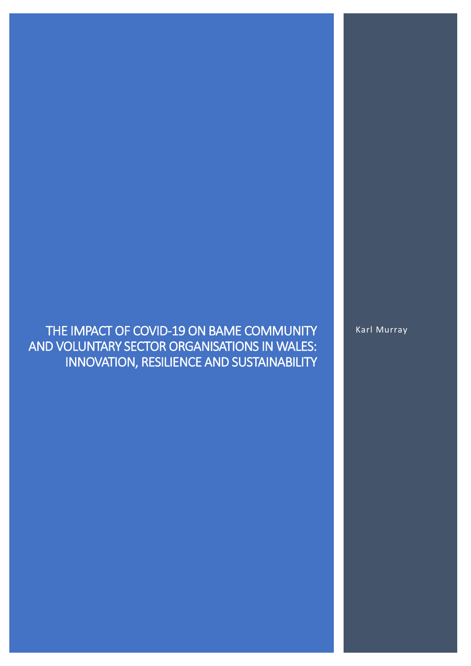# THE IMPACT OF COVID-19 ON BAME COMMUNITY AND VOLUNTARY SECTOR ORGANISATIONS IN WALES: INNOVATION, RESILIENCE AND SUSTAINABILITY

Karl Murray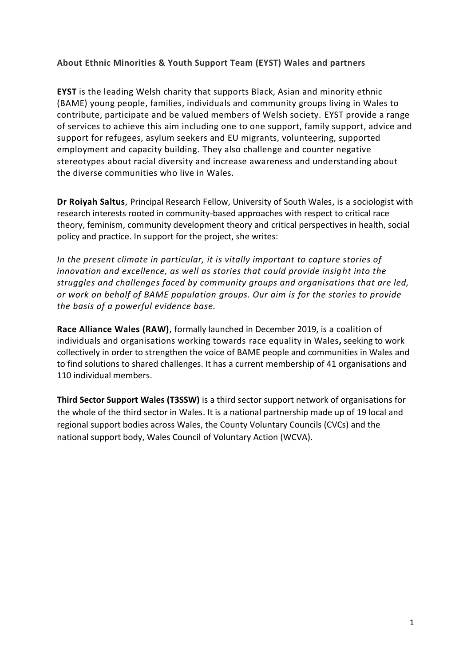### **About Ethnic Minorities & Youth Support Team (EYST) Wales and partners**

**EYST** is the leading Welsh charity that supports Black, Asian and minority ethnic (BAME) young people, families, individuals and community groups living in Wales to contribute, participate and be valued members of Welsh society. EYST provide a range of services to achieve this aim including one to one support, family support, advice and support for refugees, asylum seekers and EU migrants, volunteering, supported employment and capacity building. They also challenge and counter negative stereotypes about racial diversity and increase awareness and understanding about the diverse communities who live in Wales.

**Dr Roiyah Saltus**, Principal Research Fellow, University of South Wales, is a sociologist with research interests rooted in community-based approaches with respect to critical race theory, feminism, community development theory and critical perspectives in health, social policy and practice. In support for the project, she writes:

*In the present climate in particular, it is vitally important to capture stories of innovation and excellence, as well as stories that could provide insight into the struggles and challenges faced by community groups and organisations that are led, or work on behalf of BAME population groups. Our aim is for the stories to provide the basis of a powerful evidence base.*

**Race Alliance Wales (RAW)**, formally launched in December 2019, is a coalition of individuals and organisations working towards race equality in Wales**,** seeking to work collectively in order to strengthen the voice of BAME people and communities in Wales and to find solutions to shared challenges. It has a current membership of 41 organisations and 110 individual members.

**Third Sector Support Wales (T3SSW)** is a third sector support network of organisations for the whole of the third sector in Wales. It is a national partnership made up of 19 local and regional support bodies across Wales, the County Voluntary Councils (CVCs) and the national support body, Wales Council of Voluntary Action (WCVA).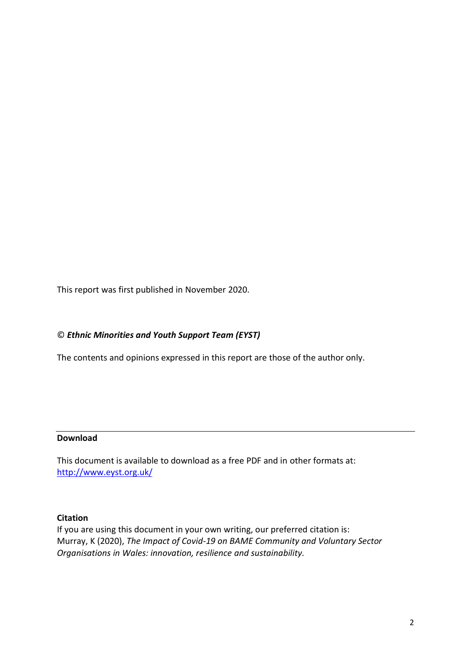This report was first published in November 2020.

### © *Ethnic Minorities and Youth Support Team (EYST)*

The contents and opinions expressed in this report are those of the author only.

### **Download**

This document is available to download as a free PDF and in other formats at: <http://www.eyst.org.uk/>

#### **Citation**

If you are using this document in your own writing, our preferred citation is: Murray, K (2020), *The Impact of Covid-19 on BAME Community and Voluntary Sector Organisations in Wales: innovation, resilience and sustainability.*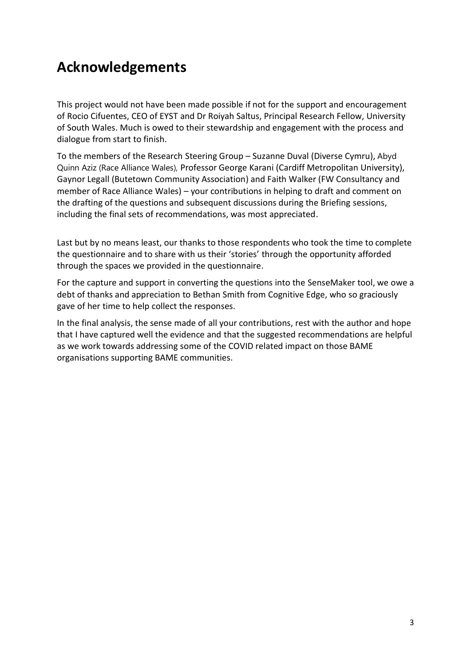# **Acknowledgements**

This project would not have been made possible if not for the support and encouragement of Rocio Cifuentes, CEO of EYST and Dr Roiyah Saltus, Principal Research Fellow, University of South Wales. Much is owed to their stewardship and engagement with the process and dialogue from start to finish.

To the members of the Research Steering Group – Suzanne Duval (Diverse Cymru), Abyd Quinn Aziz (Race Alliance Wales), Professor George Karani (Cardiff Metropolitan University), Gaynor Legall (Butetown Community Association) and Faith Walker (FW Consultancy and member of Race Alliance Wales) – your contributions in helping to draft and comment on the drafting of the questions and subsequent discussions during the Briefing sessions, including the final sets of recommendations, was most appreciated.

Last but by no means least, our thanks to those respondents who took the time to complete the questionnaire and to share with us their 'stories' through the opportunity afforded through the spaces we provided in the questionnaire.

For the capture and support in converting the questions into the SenseMaker tool, we owe a debt of thanks and appreciation to Bethan Smith from Cognitive Edge, who so graciously gave of her time to help collect the responses.

In the final analysis, the sense made of all your contributions, rest with the author and hope that I have captured well the evidence and that the suggested recommendations are helpful as we work towards addressing some of the COVID related impact on those BAME organisations supporting BAME communities.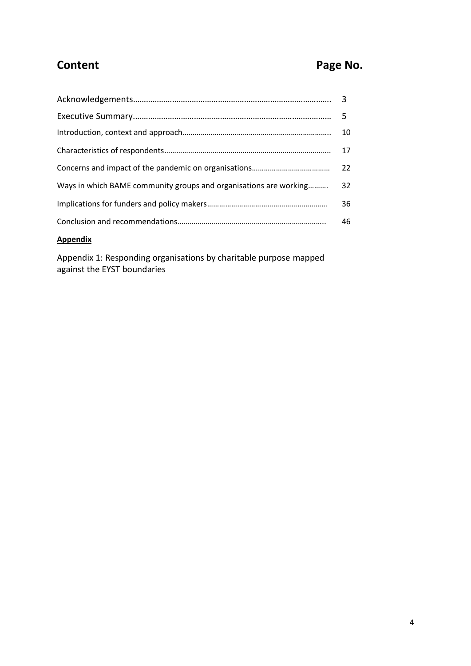# **Content Page No.**

|                                                                   | 10 |  |
|-------------------------------------------------------------------|----|--|
|                                                                   | 17 |  |
|                                                                   |    |  |
| Ways in which BAME community groups and organisations are working |    |  |
|                                                                   |    |  |
|                                                                   |    |  |
|                                                                   |    |  |

# **Appendix**

Appendix 1: Responding organisations by charitable purpose mapped against the EYST boundaries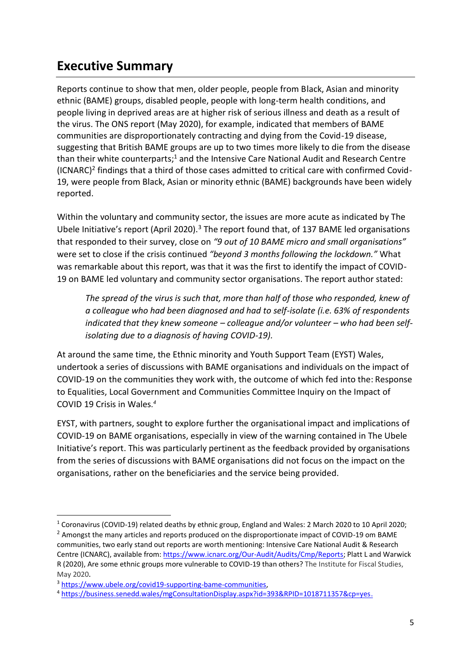# **Executive Summary**

Reports continue to show that men, older people, people from Black, Asian and minority ethnic (BAME) groups, disabled people, people with long-term health conditions, and people living in deprived areas are at higher risk of serious illness and death as a result of the virus. The ONS report (May 2020), for example, indicated that members of BAME communities are disproportionately contracting and dying from the Covid-19 disease, suggesting that British BAME groups are up to two times more likely to die from the disease than their white counterparts;<sup>1</sup> and the Intensive Care National Audit and Research Centre (ICNARC)<sup>2</sup> findings that a third of those cases admitted to critical care with confirmed Covid-19, were people from Black, Asian or minority ethnic (BAME) backgrounds have been widely reported.

Within the voluntary and community sector, the issues are more acute as indicated by The Ubele Initiative's report (April 2020).<sup>3</sup> The report found that, of 137 BAME led organisations that responded to their survey, close on *"9 out of 10 BAME micro and small organisations"*  were set to close if the crisis continued *"beyond 3 months following the lockdown."* What was remarkable about this report, was that it was the first to identify the impact of COVID-19 on BAME led voluntary and community sector organisations. The report author stated:

*The spread of the virus is such that, more than half of those who responded, knew of a colleague who had been diagnosed and had to self-isolate (i.e. 63% of respondents*  indicated that they knew someone – colleague and/or volunteer – who had been self*isolating due to a diagnosis of having COVID-19).*

At around the same time, the Ethnic minority and Youth Support Team (EYST) Wales, undertook a series of discussions with BAME organisations and individuals on the impact of COVID-19 on the communities they work with, the outcome of which fed into the: Response to Equalities, Local Government and Communities Committee Inquiry on the Impact of COVID 19 Crisis in Wales*. 4*

EYST, with partners, sought to explore further the organisational impact and implications of COVID-19 on BAME organisations, especially in view of the warning contained in The Ubele Initiative's report. This was particularly pertinent as the feedback provided by organisations from the series of discussions with BAME organisations did not focus on the impact on the organisations, rather on the beneficiaries and the service being provided.

<sup>1</sup> Coronavirus (COVID-19) related deaths by ethnic group, England and Wales: 2 March 2020 to 10 April 2020; <sup>2</sup> Amongst the many articles and reports produced on the disproportionate impact of COVID-19 om BAME

communities, two early stand out reports are worth mentioning: Intensive Care National Audit & Research Centre (ICNARC), available from: [https://www.icnarc.org/Our-Audit/Audits/Cmp/Reports;](https://www.icnarc.org/Our-Audit/Audits/Cmp/Reports) Platt L and Warwick R (2020), Are some ethnic groups more vulnerable to COVID-19 than others? The Institute for Fiscal Studies, May 2020.

<sup>3</sup> [https://www.ubele.org/covid19-supporting-bame-communities,](https://www.ubele.org/covid19-supporting-bame-communities)

<sup>4</sup> [https://business.senedd.wales/mgConsultationDisplay.aspx?id=393&RPID=1018711357&cp=yes.](https://business.senedd.wales/mgConsultationDisplay.aspx?id=393&RPID=1018711357&cp=yes)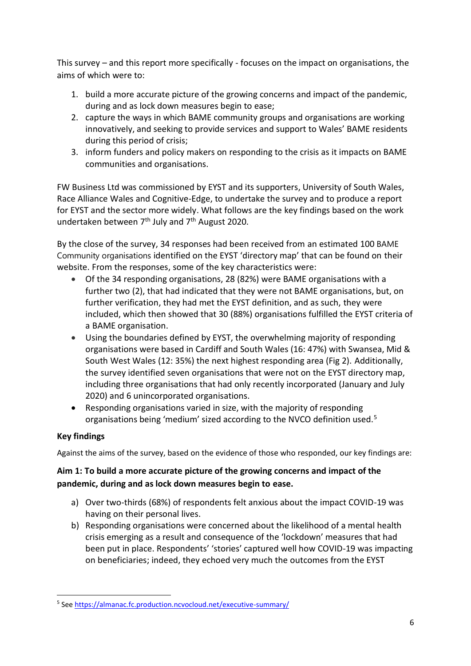This survey – and this report more specifically - focuses on the impact on organisations, the aims of which were to:

- 1. build a more accurate picture of the growing concerns and impact of the pandemic, during and as lock down measures begin to ease;
- 2. capture the ways in which BAME community groups and organisations are working innovatively, and seeking to provide services and support to Wales' BAME residents during this period of crisis;
- 3. inform funders and policy makers on responding to the crisis as it impacts on BAME communities and organisations.

FW Business Ltd was commissioned by EYST and its supporters, University of South Wales, Race Alliance Wales and Cognitive-Edge, to undertake the survey and to produce a report for EYST and the sector more widely. What follows are the key findings based on the work undertaken between  $7<sup>th</sup>$  July and  $7<sup>th</sup>$  August 2020.

By the close of the survey, 34 responses had been received from an estimated 100 BAME Community organisations identified on the EYST 'directory map' that can be found on their website. From the responses, some of the key characteristics were:

- Of the 34 responding organisations, 28 (82%) were BAME organisations with a further two (2), that had indicated that they were not BAME organisations, but, on further verification, they had met the EYST definition, and as such, they were included, which then showed that 30 (88%) organisations fulfilled the EYST criteria of a BAME organisation.
- Using the boundaries defined by EYST, the overwhelming majority of responding organisations were based in Cardiff and South Wales (16: 47%) with Swansea, Mid & South West Wales (12: 35%) the next highest responding area (Fig 2). Additionally, the survey identified seven organisations that were not on the EYST directory map, including three organisations that had only recently incorporated (January and July 2020) and 6 unincorporated organisations.
- Responding organisations varied in size, with the majority of responding organisations being 'medium' sized according to the NVCO definition used.<sup>5</sup>

# **Key findings**

Against the aims of the survey, based on the evidence of those who responded, our key findings are:

# **Aim 1: To build a more accurate picture of the growing concerns and impact of the pandemic, during and as lock down measures begin to ease.**

- a) Over two-thirds (68%) of respondents felt anxious about the impact COVID-19 was having on their personal lives.
- b) Responding organisations were concerned about the likelihood of a mental health crisis emerging as a result and consequence of the 'lockdown' measures that had been put in place. Respondents' 'stories' captured well how COVID-19 was impacting on beneficiaries; indeed, they echoed very much the outcomes from the EYST

<sup>&</sup>lt;sup>5</sup> Se[e https://almanac.fc.production.ncvocloud.net/executive-summary/](https://almanac.fc.production.ncvocloud.net/executive-summary/)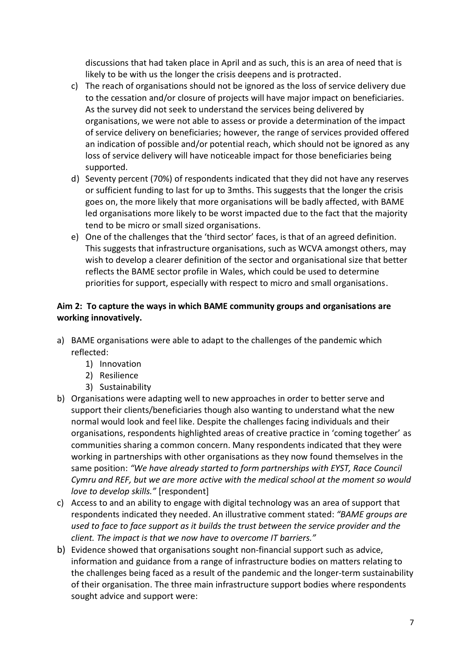discussions that had taken place in April and as such, this is an area of need that is likely to be with us the longer the crisis deepens and is protracted.

- c) The reach of organisations should not be ignored as the loss of service delivery due to the cessation and/or closure of projects will have major impact on beneficiaries. As the survey did not seek to understand the services being delivered by organisations, we were not able to assess or provide a determination of the impact of service delivery on beneficiaries; however, the range of services provided offered an indication of possible and/or potential reach, which should not be ignored as any loss of service delivery will have noticeable impact for those beneficiaries being supported.
- d) Seventy percent (70%) of respondents indicated that they did not have any reserves or sufficient funding to last for up to 3mths. This suggests that the longer the crisis goes on, the more likely that more organisations will be badly affected, with BAME led organisations more likely to be worst impacted due to the fact that the majority tend to be micro or small sized organisations.
- e) One of the challenges that the 'third sector' faces, is that of an agreed definition. This suggests that infrastructure organisations, such as WCVA amongst others, may wish to develop a clearer definition of the sector and organisational size that better reflects the BAME sector profile in Wales, which could be used to determine priorities for support, especially with respect to micro and small organisations.

# **Aim 2: To capture the ways in which BAME community groups and organisations are working innovatively.**

- a) BAME organisations were able to adapt to the challenges of the pandemic which reflected:
	- 1) Innovation
	- 2) Resilience
	- 3) Sustainability
- b) Organisations were adapting well to new approaches in order to better serve and support their clients/beneficiaries though also wanting to understand what the new normal would look and feel like. Despite the challenges facing individuals and their organisations, respondents highlighted areas of creative practice in 'coming together' as communities sharing a common concern. Many respondents indicated that they were working in partnerships with other organisations as they now found themselves in the same position: *"We have already started to form partnerships with EYST, Race Council Cymru and REF, but we are more active with the medical school at the moment so would love to develop skills."* [respondent]
- c) Access to and an ability to engage with digital technology was an area of support that respondents indicated they needed. An illustrative comment stated: *"BAME groups are used to face to face support as it builds the trust between the service provider and the client. The impact is that we now have to overcome IT barriers."*
- b) Evidence showed that organisations sought non-financial support such as advice, information and guidance from a range of infrastructure bodies on matters relating to the challenges being faced as a result of the pandemic and the longer-term sustainability of their organisation. The three main infrastructure support bodies where respondents sought advice and support were: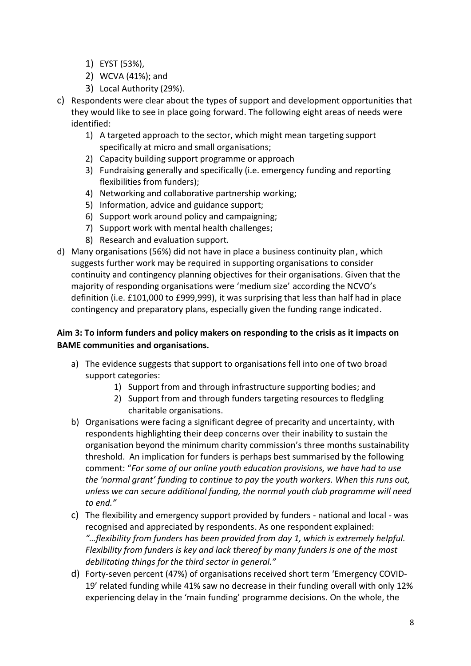- 1) EYST (53%),
- 2) WCVA (41%); and
- 3) Local Authority (29%).
- c) Respondents were clear about the types of support and development opportunities that they would like to see in place going forward. The following eight areas of needs were identified:
	- 1) A targeted approach to the sector, which might mean targeting support specifically at micro and small organisations;
	- 2) Capacity building support programme or approach
	- 3) Fundraising generally and specifically (i.e. emergency funding and reporting flexibilities from funders);
	- 4) Networking and collaborative partnership working;
	- 5) Information, advice and guidance support;
	- 6) Support work around policy and campaigning;
	- 7) Support work with mental health challenges;
	- 8) Research and evaluation support.
- d) Many organisations (56%) did not have in place a business continuity plan, which suggests further work may be required in supporting organisations to consider continuity and contingency planning objectives for their organisations. Given that the majority of responding organisations were 'medium size' according the NCVO's definition (i.e. £101,000 to £999,999), it was surprising that less than half had in place contingency and preparatory plans, especially given the funding range indicated.

# **Aim 3: To inform funders and policy makers on responding to the crisis as it impacts on BAME communities and organisations.**

- a) The evidence suggests that support to organisations fell into one of two broad support categories:
	- 1) Support from and through infrastructure supporting bodies; and
	- 2) Support from and through funders targeting resources to fledgling charitable organisations.
- b) Organisations were facing a significant degree of precarity and uncertainty, with respondents highlighting their deep concerns over their inability to sustain the organisation beyond the minimum charity commission's three months sustainability threshold. An implication for funders is perhaps best summarised by the following comment: "*For some of our online youth education provisions, we have had to use the 'normal grant' funding to continue to pay the youth workers. When this runs out, unless we can secure additional funding, the normal youth club programme will need to end."*
- c) The flexibility and emergency support provided by funders national and local was recognised and appreciated by respondents. As one respondent explained: *"…flexibility from funders has been provided from day 1, which is extremely helpful. Flexibility from funders is key and lack thereof by many funders is one of the most debilitating things for the third sector in general."*
- d) Forty-seven percent (47%) of organisations received short term 'Emergency COVID-19' related funding while 41% saw no decrease in their funding overall with only 12% experiencing delay in the 'main funding' programme decisions. On the whole, the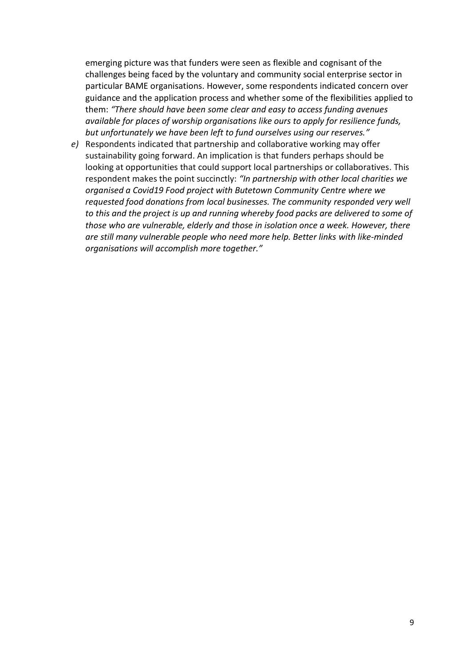emerging picture was that funders were seen as flexible and cognisant of the challenges being faced by the voluntary and community social enterprise sector in particular BAME organisations. However, some respondents indicated concern over guidance and the application process and whether some of the flexibilities applied to them: *"There should have been some clear and easy to access funding avenues available for places of worship organisations like ours to apply for resilience funds, but unfortunately we have been left to fund ourselves using our reserves."*

*e)* Respondents indicated that partnership and collaborative working may offer sustainability going forward. An implication is that funders perhaps should be looking at opportunities that could support local partnerships or collaboratives. This respondent makes the point succinctly: *"In partnership with other local charities we organised a Covid19 Food project with Butetown Community Centre where we requested food donations from local businesses. The community responded very well to this and the project is up and running whereby food packs are delivered to some of those who are vulnerable, elderly and those in isolation once a week. However, there are still many vulnerable people who need more help. Better links with like-minded organisations will accomplish more together."*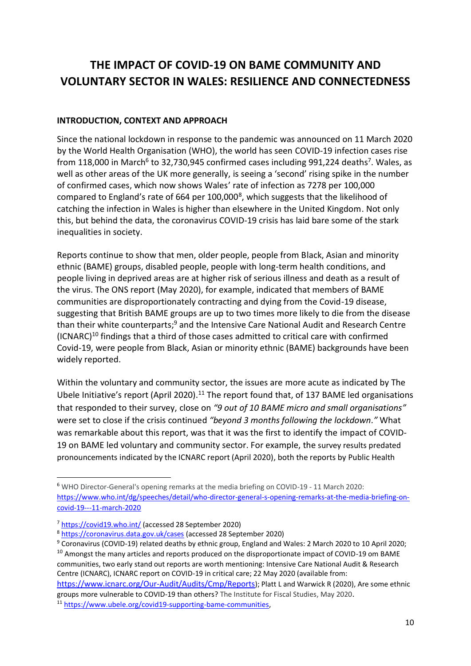# **THE IMPACT OF COVID-19 ON BAME COMMUNITY AND VOLUNTARY SECTOR IN WALES: RESILIENCE AND CONNECTEDNESS**

#### **INTRODUCTION, CONTEXT AND APPROACH**

Since the national lockdown in response to the pandemic was announced on 11 March 2020 by the World Health Organisation (WHO), the world has seen COVID-19 infection cases rise from 118,000 in March<sup>6</sup> to 32,730,945 confirmed cases including 991,224 deaths<sup>7</sup>. Wales, as well as other areas of the UK more generally, is seeing a 'second' rising spike in the number of confirmed cases, which now shows Wales' rate of infection as 7278 per 100,000 compared to England's rate of 664 per 100,000<sup>8</sup>, which suggests that the likelihood of catching the infection in Wales is higher than elsewhere in the United Kingdom. Not only this, but behind the data, the coronavirus COVID-19 crisis has laid bare some of the stark inequalities in society.

Reports continue to show that men, older people, people from Black, Asian and minority ethnic (BAME) groups, disabled people, people with long-term health conditions, and people living in deprived areas are at higher risk of serious illness and death as a result of the virus. The ONS report (May 2020), for example, indicated that members of BAME communities are disproportionately contracting and dying from the Covid-19 disease, suggesting that British BAME groups are up to two times more likely to die from the disease than their white counterparts;<sup>9</sup> and the Intensive Care National Audit and Research Centre  $(ICNARC)^{10}$  findings that a third of those cases admitted to critical care with confirmed Covid-19, were people from Black, Asian or minority ethnic (BAME) backgrounds have been widely reported.

Within the voluntary and community sector, the issues are more acute as indicated by The Ubele Initiative's report (April 2020).<sup>11</sup> The report found that, of 137 BAME led organisations that responded to their survey, close on *"9 out of 10 BAME micro and small organisations"* were set to close if the crisis continued *"beyond 3 months following the lockdown."* What was remarkable about this report, was that it was the first to identify the impact of COVID-19 on BAME led voluntary and community sector. For example, the survey results predated pronouncements indicated by the ICNARC report (April 2020), both the reports by Public Health

<sup>6</sup> WHO Director-General's opening remarks at the media briefing on COVID-19 - 11 March 2020: [https://www.who.int/dg/speeches/detail/who-director-general-s-opening-remarks-at-the-media-briefing-on](https://www.who.int/dg/speeches/detail/who-director-general-s-opening-remarks-at-the-media-briefing-on-covid-19---11-march-2020)[covid-19---11-march-2020](https://www.who.int/dg/speeches/detail/who-director-general-s-opening-remarks-at-the-media-briefing-on-covid-19---11-march-2020)

<sup>7</sup> <https://covid19.who.int/> (accessed 28 September 2020)

<sup>8</sup> <https://coronavirus.data.gov.uk/cases> (accessed 28 September 2020)

<sup>&</sup>lt;sup>9</sup> Coronavirus (COVID-19) related deaths by ethnic group, England and Wales: 2 March 2020 to 10 April 2020;

<sup>&</sup>lt;sup>10</sup> Amongst the many articles and reports produced on the disproportionate impact of COVID-19 om BAME communities, two early stand out reports are worth mentioning: Intensive Care National Audit & Research Centre (ICNARC), ICNARC report on COVID-19 in critical care; 22 May 2020 (available from:

<https://www.icnarc.org/Our-Audit/Audits/Cmp/Reports>); Platt L and Warwick R (2020), Are some ethnic groups more vulnerable to COVID-19 than others? The Institute for Fiscal Studies, May 2020.

<sup>11</sup> [https://www.ubele.org/covid19-supporting-bame-communities,](https://www.ubele.org/covid19-supporting-bame-communities)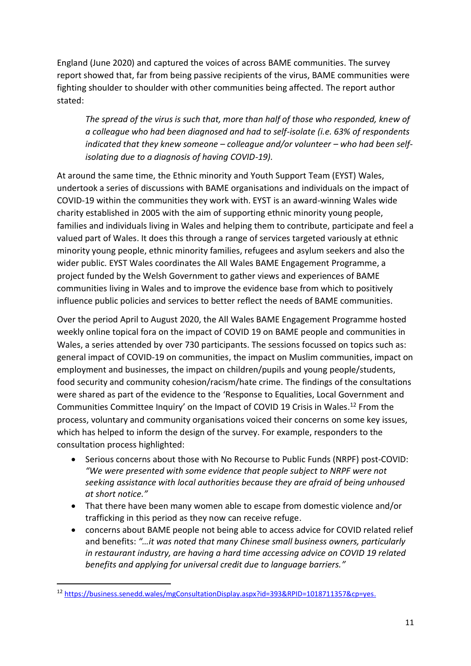England (June 2020) and captured the voices of across BAME communities. The survey report showed that, far from being passive recipients of the virus, BAME communities were fighting shoulder to shoulder with other communities being affected. The report author stated:

*The spread of the virus is such that, more than half of those who responded, knew of a colleague who had been diagnosed and had to self-isolate (i.e. 63% of respondents indicated that they knew someone – colleague and/or volunteer – who had been selfisolating due to a diagnosis of having COVID-19).*

At around the same time, the Ethnic minority and Youth Support Team (EYST) Wales, undertook a series of discussions with BAME organisations and individuals on the impact of COVID-19 within the communities they work with. EYST is an award-winning Wales wide charity established in 2005 with the aim of supporting ethnic minority young people, families and individuals living in Wales and helping them to contribute, participate and feel a valued part of Wales. It does this through a range of services targeted variously at ethnic minority young people, ethnic minority families, refugees and asylum seekers and also the wider public. EYST Wales coordinates the All Wales BAME Engagement Programme, a project funded by the Welsh Government to gather views and experiences of BAME communities living in Wales and to improve the evidence base from which to positively influence public policies and services to better reflect the needs of BAME communities.

Over the period April to August 2020, the All Wales BAME Engagement Programme hosted weekly online topical fora on the impact of COVID 19 on BAME people and communities in Wales, a series attended by over 730 participants. The sessions focussed on topics such as: general impact of COVID-19 on communities, the impact on Muslim communities, impact on employment and businesses, the impact on children/pupils and young people/students, food security and community cohesion/racism/hate crime. The findings of the consultations were shared as part of the evidence to the 'Response to Equalities, Local Government and Communities Committee Inquiry' on the Impact of COVID 19 Crisis in Wales. <sup>12</sup> From the process, voluntary and community organisations voiced their concerns on some key issues, which has helped to inform the design of the survey. For example, responders to the consultation process highlighted:

- Serious concerns about those with No Recourse to Public Funds (NRPF) post-COVID: *"We were presented with some evidence that people subject to NRPF were not seeking assistance with local authorities because they are afraid of being unhoused at short notice."*
- That there have been many women able to escape from domestic violence and/or trafficking in this period as they now can receive refuge.
- concerns about BAME people not being able to access advice for COVID related relief and benefits: *"…it was noted that many Chinese small business owners, particularly in restaurant industry, are having a hard time accessing advice on COVID 19 related benefits and applying for universal credit due to language barriers."*

<sup>12</sup> [https://business.senedd.wales/mgConsultationDisplay.aspx?id=393&RPID=1018711357&cp=yes.](https://business.senedd.wales/mgConsultationDisplay.aspx?id=393&RPID=1018711357&cp=yes)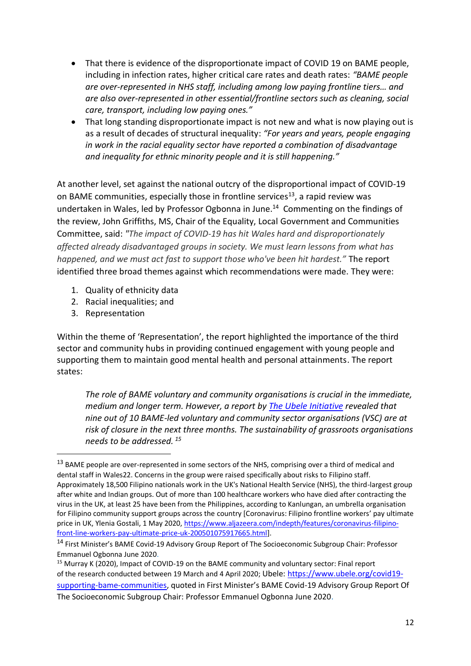- That there is evidence of the disproportionate impact of COVID 19 on BAME people, including in infection rates, higher critical care rates and death rates: *"BAME people are over-represented in NHS staff, including among low paying frontline tiers… and are also over-represented in other essential/frontline sectors such as cleaning, social care, transport, including low paying ones."*
- That long standing disproportionate impact is not new and what is now playing out is as a result of decades of structural inequality: *"For years and years, people engaging in work in the racial equality sector have reported a combination of disadvantage and inequality for ethnic minority people and it is still happening."*

At another level, set against the national outcry of the disproportional impact of COVID-19 on BAME communities, especially those in frontline services<sup>13</sup>, a rapid review was undertaken in Wales, led by Professor Ogbonna in June. 14 Commenting on the findings of the review, John Griffiths, MS, Chair of the Equality, Local Government and Communities Committee, said: *"The impact of COVID-19 has hit Wales hard and disproportionately affected already disadvantaged groups in society. We must learn lessons from what has happened, and we must act fast to support those who've been hit hardest."* The report identified three broad themes against which recommendations were made. They were:

- 1. Quality of ethnicity data
- 2. Racial inequalities; and
- 3. Representation

Within the theme of 'Representation', the report highlighted the importance of the third sector and community hubs in providing continued engagement with young people and supporting them to maintain good mental health and personal attainments. The report states:

*The role of BAME voluntary and community organisations is crucial in the immediate, medium and longer term. However, a report b[y The Ubele Initiative](https://static1.squarespace.com/static/58f9e592440243412051314a/t/5eaab6e972a49d5a320cf3af/1588246258540/REPORT+Impact+of+COVID-19+on+the+BAME+Community+and+voluntary+sector%2C+30+April+2020.pdf) revealed that nine out of 10 BAME-led voluntary and community sector organisations (VSC) are at risk of closure in the next three months. The sustainability of grassroots organisations needs to be addressed. <sup>15</sup>*

<sup>&</sup>lt;sup>13</sup> BAME people are over-represented in some sectors of the NHS, comprising over a third of medical and dental staff in Wales22. Concerns in the group were raised specifically about risks to Filipino staff. Approximately 18,500 Filipino nationals work in the UK's National Health Service (NHS), the third-largest group after white and Indian groups. Out of more than 100 healthcare workers who have died after contracting the virus in the UK, at least 25 have been from the Philippines, according to Kanlungan, an umbrella organisation for Filipino community support groups across the country [Coronavirus: Filipino frontline workers' pay ultimate price in UK, Ylenia Gostali, 1 May 2020, [https://www.aljazeera.com/indepth/features/coronavirus-filipino](https://www.aljazeera.com/indepth/features/coronavirus-filipino-front-line-workers-pay-ultimate-price-uk-200501075917665.html)[front-line-workers-pay-ultimate-price-uk-200501075917665.html\]](https://www.aljazeera.com/indepth/features/coronavirus-filipino-front-line-workers-pay-ultimate-price-uk-200501075917665.html).

<sup>14</sup> First Minister's BAME Covid-19 Advisory Group Report of The Socioeconomic Subgroup Chair: Professor Emmanuel Ogbonna June 2020.

<sup>15</sup> Murray K (2020), Impact of COVID-19 on the BAME community and voluntary sector: Final report of the research conducted between 19 March and 4 April 2020; Ubele: [https://www.ubele.org/covid19](https://www.ubele.org/covid19-supporting-bame-communities) [supporting-bame-communities,](https://www.ubele.org/covid19-supporting-bame-communities) quoted in First Minister's BAME Covid-19 Advisory Group Report Of The Socioeconomic Subgroup Chair: Professor Emmanuel Ogbonna June 2020.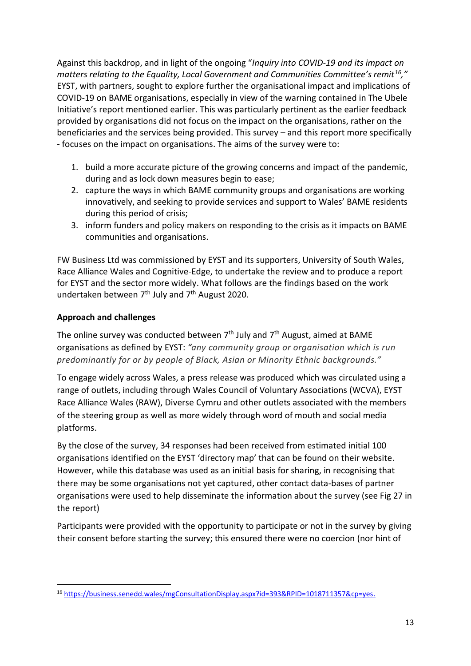Against this backdrop, and in light of the ongoing "*Inquiry into COVID-19 and its impact on matters relating to the Equality, Local Government and Communities Committee's remit<sup>16</sup>,"*  EYST, with partners, sought to explore further the organisational impact and implications of COVID-19 on BAME organisations, especially in view of the warning contained in The Ubele Initiative's report mentioned earlier. This was particularly pertinent as the earlier feedback provided by organisations did not focus on the impact on the organisations, rather on the beneficiaries and the services being provided. This survey – and this report more specifically - focuses on the impact on organisations. The aims of the survey were to:

- 1. build a more accurate picture of the growing concerns and impact of the pandemic, during and as lock down measures begin to ease;
- 2. capture the ways in which BAME community groups and organisations are working innovatively, and seeking to provide services and support to Wales' BAME residents during this period of crisis;
- 3. inform funders and policy makers on responding to the crisis as it impacts on BAME communities and organisations.

FW Business Ltd was commissioned by EYST and its supporters, University of South Wales, Race Alliance Wales and Cognitive-Edge, to undertake the review and to produce a report for EYST and the sector more widely. What follows are the findings based on the work undertaken between 7<sup>th</sup> July and 7<sup>th</sup> August 2020.

# **Approach and challenges**

The online survey was conducted between  $7<sup>th</sup>$  July and  $7<sup>th</sup>$  August, aimed at BAME organisations as defined by EYST: *"any community group or organisation which is run predominantly for or by people of Black, Asian or Minority Ethnic backgrounds."*

To engage widely across Wales, a press release was produced which was circulated using a range of outlets, including through Wales Council of Voluntary Associations (WCVA), EYST Race Alliance Wales (RAW), Diverse Cymru and other outlets associated with the members of the steering group as well as more widely through word of mouth and social media platforms.

By the close of the survey, 34 responses had been received from estimated initial 100 organisations identified on the EYST 'directory map' that can be found on their website. However, while this database was used as an initial basis for sharing, in recognising that there may be some organisations not yet captured, other contact data-bases of partner organisations were used to help disseminate the information about the survey (see Fig 27 in the report)

Participants were provided with the opportunity to participate or not in the survey by giving their consent before starting the survey; this ensured there were no coercion (nor hint of

<sup>16</sup> [https://business.senedd.wales/mgConsultationDisplay.aspx?id=393&RPID=1018711357&cp=yes.](https://business.senedd.wales/mgConsultationDisplay.aspx?id=393&RPID=1018711357&cp=yes)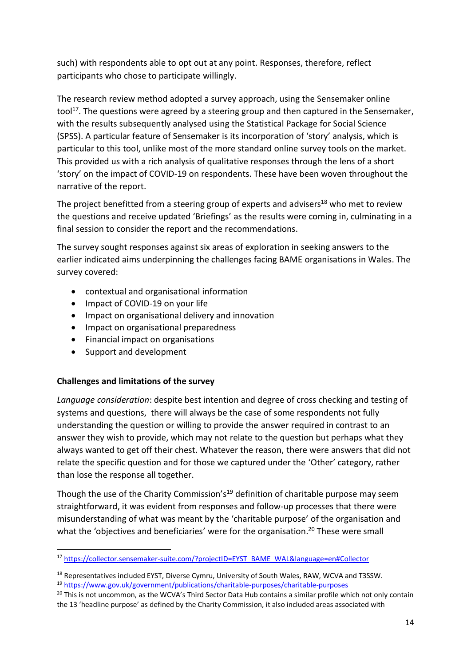such) with respondents able to opt out at any point. Responses, therefore, reflect participants who chose to participate willingly.

The research review method adopted a survey approach, using the Sensemaker online tool<sup>17</sup>. The questions were agreed by a steering group and then captured in the Sensemaker, with the results subsequently analysed using the Statistical Package for Social Science (SPSS). A particular feature of Sensemaker is its incorporation of 'story' analysis, which is particular to this tool, unlike most of the more standard online survey tools on the market. This provided us with a rich analysis of qualitative responses through the lens of a short 'story' on the impact of COVID-19 on respondents. These have been woven throughout the narrative of the report.

The project benefitted from a steering group of experts and advisers<sup>18</sup> who met to review the questions and receive updated 'Briefings' as the results were coming in, culminating in a final session to consider the report and the recommendations.

The survey sought responses against six areas of exploration in seeking answers to the earlier indicated aims underpinning the challenges facing BAME organisations in Wales. The survey covered:

- contextual and organisational information
- Impact of COVID-19 on your life
- Impact on organisational delivery and innovation
- Impact on organisational preparedness
- Financial impact on organisations
- Support and development

#### **Challenges and limitations of the survey**

*Language consideration*: despite best intention and degree of cross checking and testing of systems and questions, there will always be the case of some respondents not fully understanding the question or willing to provide the answer required in contrast to an answer they wish to provide, which may not relate to the question but perhaps what they always wanted to get off their chest. Whatever the reason, there were answers that did not relate the specific question and for those we captured under the 'Other' category, rather than lose the response all together.

Though the use of the Charity Commission's<sup>19</sup> definition of charitable purpose may seem straightforward, it was evident from responses and follow-up processes that there were misunderstanding of what was meant by the 'charitable purpose' of the organisation and what the 'objectives and beneficiaries' were for the organisation.<sup>20</sup> These were small

<sup>17</sup> [https://collector.sensemaker-suite.com/?projectID=EYST\\_BAME\\_WAL&language=en#Collector](https://collector.sensemaker-suite.com/?projectID=EYST_BAME_WAL&language=en#Collector)

<sup>&</sup>lt;sup>18</sup> Representatives included EYST, Diverse Cymru, University of South Wales, RAW, WCVA and T3SSW. <sup>19</sup> <https://www.gov.uk/government/publications/charitable-purposes/charitable-purposes>

<sup>&</sup>lt;sup>20</sup> This is not uncommon, as the WCVA's Third Sector Data Hub contains a similar profile which not only contain the 13 'headline purpose' as defined by the Charity Commission, it also included areas associated with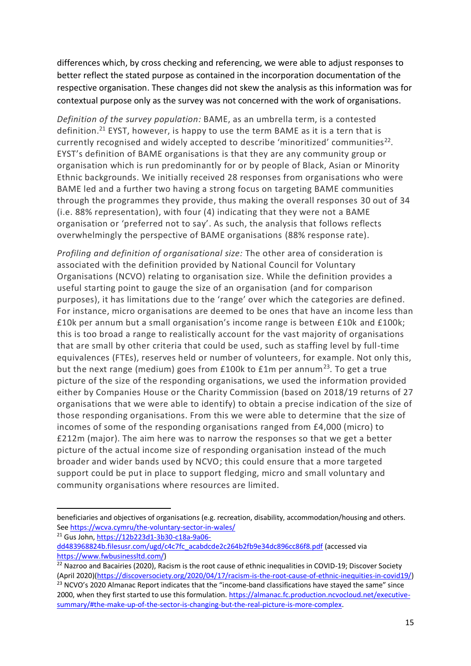differences which, by cross checking and referencing, we were able to adjust responses to better reflect the stated purpose as contained in the incorporation documentation of the respective organisation. These changes did not skew the analysis as this information was for contextual purpose only as the survey was not concerned with the work of organisations.

*Definition of the survey population:* BAME, as an umbrella term, is a contested definition. <sup>21</sup> EYST, however, is happy to use the term BAME as it is a tern that is currently recognised and widely accepted to describe 'minoritized' communities<sup>22</sup>. EYST's definition of BAME organisations is that they are any community group or organisation which is run predominantly for or by people of Black, Asian or Minority Ethnic backgrounds. We initially received 28 responses from organisations who were BAME led and a further two having a strong focus on targeting BAME communities through the programmes they provide, thus making the overall responses 30 out of 34 (i.e. 88% representation), with four (4) indicating that they were not a BAME organisation or 'preferred not to say'. As such, the analysis that follows reflects overwhelmingly the perspective of BAME organisations (88% response rate).

*Profiling and definition of organisational size:* The other area of consideration is associated with the definition provided by National Council for Voluntary Organisations (NCVO) relating to organisation size. While the definition provides a useful starting point to gauge the size of an organisation (and for comparison purposes), it has limitations due to the 'range' over which the categories are defined. For instance, micro organisations are deemed to be ones that have an income less than £10k per annum but a small organisation's income range is between £10k and £100k; this is too broad a range to realistically account for the vast majority of organisations that are small by other criteria that could be used, such as staffing level by full-time equivalences (FTEs), reserves held or number of volunteers, for example. Not only this, but the next range (medium) goes from  $£100k$  to  $£1m$  per annum<sup>23</sup>. To get a true picture of the size of the responding organisations, we used the information provided either by Companies House or the Charity Commission (based on 2018/19 returns of 27 organisations that we were able to identify) to obtain a precise indication of the size of those responding organisations. From this we were able to determine that the size of incomes of some of the responding organisations ranged from £4,000 (micro) to £212m (major). The aim here was to narrow the responses so that we get a better picture of the actual income size of responding organisation instead of the much broader and wider bands used by NCVO; this could ensure that a more targeted support could be put in place to support fledging, micro and small voluntary and community organisations where resources are limited.

<sup>21</sup> Gus John[, https://12b223d1-3b30-c18a-9a06-](https://12b223d1-3b30-c18a-9a06-dd483968824b.filesusr.com/ugd/c4c7fc_acabdcde2c264b2fb9e34dc896cc86f8.pdf)

beneficiaries and objectives of organisations (e.g. recreation, disability, accommodation/housing and others. See<https://wcva.cymru/the-voluntary-sector-in-wales/>

[dd483968824b.filesusr.com/ugd/c4c7fc\\_acabdcde2c264b2fb9e34dc896cc86f8.pdf](https://12b223d1-3b30-c18a-9a06-dd483968824b.filesusr.com/ugd/c4c7fc_acabdcde2c264b2fb9e34dc896cc86f8.pdf) (accessed via [https://www.fwbusinessltd.com/\)](https://www.fwbusinessltd.com/)

<sup>&</sup>lt;sup>22</sup> Nazroo and Bacairies (2020), Racism is the root cause of ethnic inequalities in COVID-19; Discover Society (April 2020)[\(https://discoversociety.org/2020/04/17/racism-is-the-root-cause-of-ethnic-inequities-in-covid19/\)](https://discoversociety.org/2020/04/17/racism-is-the-root-cause-of-ethnic-inequities-in-covid19/) <sup>23</sup> NCVO's 2020 Almanac Report indicates that the "income-band classifications have stayed the same" since 2000, when they first started to use this formulation. [https://almanac.fc.production.ncvocloud.net/executive](https://almanac.fc.production.ncvocloud.net/executive-summary/#the-make-up-of-the-sector-is-changing-but-the-real-picture-is-more-complex)[summary/#the-make-up-of-the-sector-is-changing-but-the-real-picture-is-more-complex.](https://almanac.fc.production.ncvocloud.net/executive-summary/#the-make-up-of-the-sector-is-changing-but-the-real-picture-is-more-complex)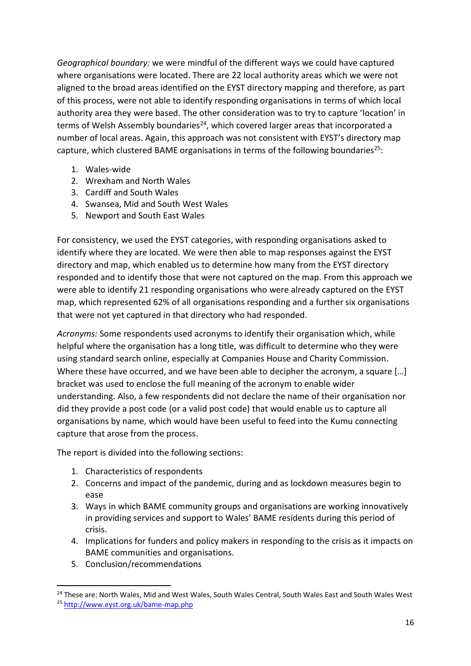*Geographical boundary:* we were mindful of the different ways we could have captured where organisations were located. There are 22 local authority areas which we were not aligned to the broad areas identified on the EYST directory mapping and therefore, as part of this process, were not able to identify responding organisations in terms of which local authority area they were based. The other consideration was to try to capture 'location' in terms of Welsh Assembly boundaries<sup>24</sup>, which covered larger areas that incorporated a number of local areas. Again, this approach was not consistent with EYST's directory map capture, which clustered BAME organisations in terms of the following boundaries<sup>25</sup>:

- 1. Wales-wide
- 2. Wrexham and North Wales
- 3. Cardiff and South Wales
- 4. Swansea, Mid and South West Wales
- 5. Newport and South East Wales

For consistency, we used the EYST categories, with responding organisations asked to identify where they are located. We were then able to map responses against the EYST directory and map, which enabled us to determine how many from the EYST directory responded and to identify those that were not captured on the map. From this approach we were able to identify 21 responding organisations who were already captured on the EYST map, which represented 62% of all organisations responding and a further six organisations that were not yet captured in that directory who had responded.

*Acronyms:* Some respondents used acronyms to identify their organisation which, while helpful where the organisation has a long title, was difficult to determine who they were using standard search online, especially at Companies House and Charity Commission. Where these have occurred, and we have been able to decipher the acronym, a square [...] bracket was used to enclose the full meaning of the acronym to enable wider understanding. Also, a few respondents did not declare the name of their organisation nor did they provide a post code (or a valid post code) that would enable us to capture all organisations by name, which would have been useful to feed into the Kumu connecting capture that arose from the process.

The report is divided into the following sections:

- 1. Characteristics of respondents
- 2. Concerns and impact of the pandemic, during and as lockdown measures begin to ease
- 3. Ways in which BAME community groups and organisations are working innovatively in providing services and support to Wales' BAME residents during this period of crisis.
- 4. Implications for funders and policy makers in responding to the crisis as it impacts on BAME communities and organisations.
- 5. Conclusion/recommendations

<sup>&</sup>lt;sup>24</sup> These are: North Wales, Mid and West Wales, South Wales Central, South Wales East and South Wales West

<sup>25</sup> <http://www.eyst.org.uk/bame-map.php>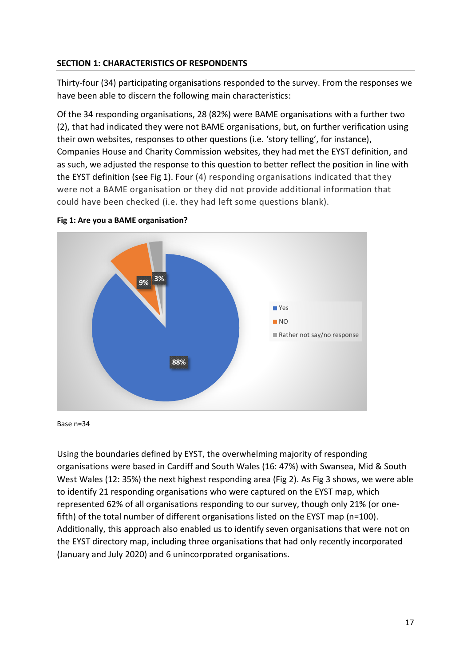#### **SECTION 1: CHARACTERISTICS OF RESPONDENTS**

Thirty-four (34) participating organisations responded to the survey. From the responses we have been able to discern the following main characteristics:

Of the 34 responding organisations, 28 (82%) were BAME organisations with a further two (2), that had indicated they were not BAME organisations, but, on further verification using their own websites, responses to other questions (i.e. 'story telling', for instance), Companies House and Charity Commission websites, they had met the EYST definition, and as such, we adjusted the response to this question to better reflect the position in line with the EYST definition (see Fig 1). Four (4) responding organisations indicated that they were not a BAME organisation or they did not provide additional information that could have been checked (i.e. they had left some questions blank).





Base n=34

Using the boundaries defined by EYST, the overwhelming majority of responding organisations were based in Cardiff and South Wales (16: 47%) with Swansea, Mid & South West Wales (12: 35%) the next highest responding area (Fig 2). As Fig 3 shows, we were able to identify 21 responding organisations who were captured on the EYST map, which represented 62% of all organisations responding to our survey, though only 21% (or onefifth) of the total number of different organisations listed on the EYST map (n=100). Additionally, this approach also enabled us to identify seven organisations that were not on the EYST directory map, including three organisations that had only recently incorporated (January and July 2020) and 6 unincorporated organisations.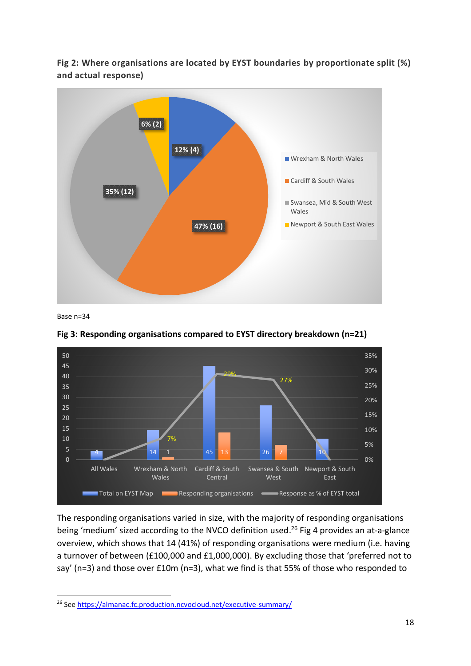**Fig 2: Where organisations are located by EYST boundaries by proportionate split (%) and actual response)**



Base n=34



**Fig 3: Responding organisations compared to EYST directory breakdown (n=21)**

The responding organisations varied in size, with the majority of responding organisations being 'medium' sized according to the NVCO definition used. <sup>26</sup> Fig 4 provides an at-a-glance overview, which shows that 14 (41%) of responding organisations were medium (i.e. having a turnover of between (£100,000 and £1,000,000). By excluding those that 'preferred not to say' (n=3) and those over £10m (n=3), what we find is that 55% of those who responded to

<sup>&</sup>lt;sup>26</sup> Se[e https://almanac.fc.production.ncvocloud.net/executive-summary/](https://almanac.fc.production.ncvocloud.net/executive-summary/)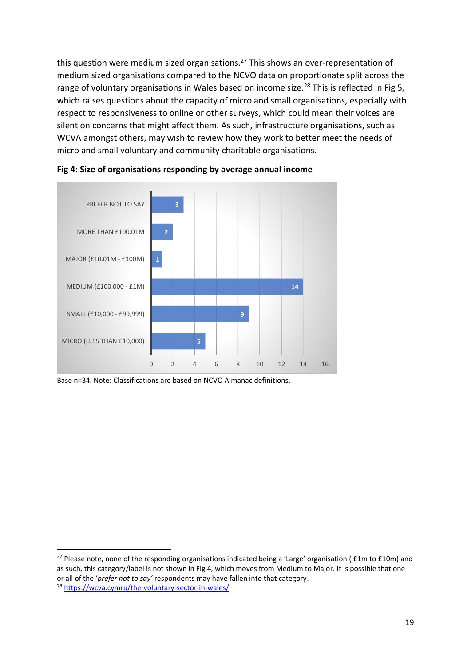this question were medium sized organisations.<sup>27</sup> This shows an over-representation of medium sized organisations compared to the NCVO data on proportionate split across the range of voluntary organisations in Wales based on income size.<sup>28</sup> This is reflected in Fig 5, which raises questions about the capacity of micro and small organisations, especially with respect to responsiveness to online or other surveys, which could mean their voices are silent on concerns that might affect them. As such, infrastructure organisations, such as WCVA amongst others, may wish to review how they work to better meet the needs of micro and small voluntary and community charitable organisations.





Base n=34. Note: Classifications are based on NCVO Almanac definitions.

<sup>&</sup>lt;sup>27</sup> Please note, none of the responding organisations indicated being a 'Large' organisation ( $£1m$  to  $£10m$ ) and as such, this category/label is not shown in Fig 4, which moves from Medium to Major. It is possible that one or all of the '*prefer not to say'* respondents may have fallen into that category.

<sup>28</sup> <https://wcva.cymru/the-voluntary-sector-in-wales/>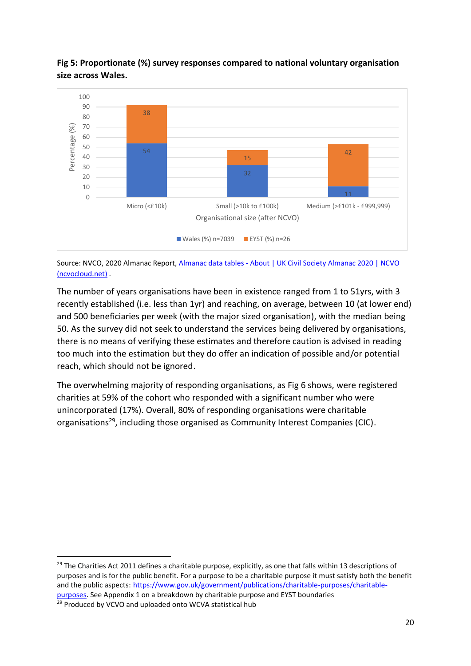# **Fig 5: Proportionate (%) survey responses compared to national voluntary organisation size across Wales.**



Source: NVCO, 2020 Almanac Report, Almanac data tables - [About | UK Civil Society Almanac 2020 | NCVO](https://almanac.fc.production.ncvocloud.net/about/almanac-data-tables/)  [\(ncvocloud.net\)](https://almanac.fc.production.ncvocloud.net/about/almanac-data-tables/) .

The number of years organisations have been in existence ranged from 1 to 51yrs, with 3 recently established (i.e. less than 1yr) and reaching, on average, between 10 (at lower end) and 500 beneficiaries per week (with the major sized organisation), with the median being 50. As the survey did not seek to understand the services being delivered by organisations, there is no means of verifying these estimates and therefore caution is advised in reading too much into the estimation but they do offer an indication of possible and/or potential reach, which should not be ignored.

The overwhelming majority of responding organisations, as Fig 6 shows, were registered charities at 59% of the cohort who responded with a significant number who were unincorporated (17%). Overall, 80% of responding organisations were charitable organisations<sup>29</sup>, including those organised as Community Interest Companies (CIC).

<sup>29</sup> Produced by VCVO and uploaded onto WCVA statistical hub

<sup>&</sup>lt;sup>29</sup> The Charities Act 2011 defines a charitable purpose, explicitly, as one that falls within 13 descriptions of purposes and is for the public benefit. For a purpose to be a charitable purpose it must satisfy both the benefit and the public aspects: [https://www.gov.uk/government/publications/charitable-purposes/charitable](https://www.gov.uk/government/publications/charitable-purposes/charitable-purposes)[purposes.](https://www.gov.uk/government/publications/charitable-purposes/charitable-purposes) See Appendix 1 on a breakdown by charitable purpose and EYST boundaries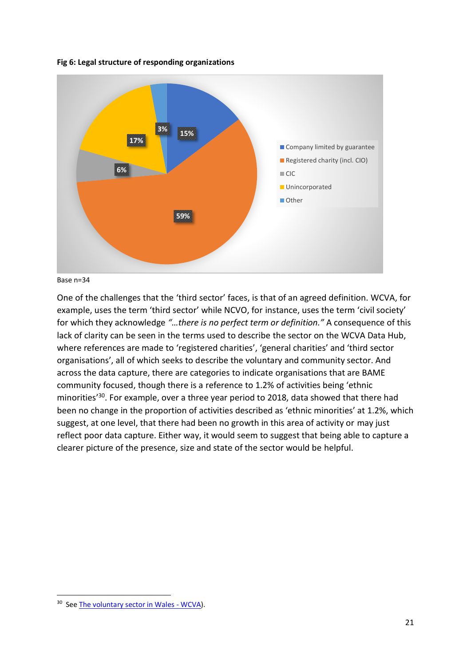

**Fig 6: Legal structure of responding organizations**



One of the challenges that the 'third sector' faces, is that of an agreed definition. WCVA, for example, uses the term 'third sector' while NCVO, for instance, uses the term 'civil society' for which they acknowledge *"…there is no perfect term or definition."* A consequence of this lack of clarity can be seen in the terms used to describe the sector on the WCVA Data Hub, where references are made to 'registered charities', 'general charities' and 'third sector organisations', all of which seeks to describe the voluntary and community sector. And across the data capture, there are categories to indicate organisations that are BAME community focused, though there is a reference to 1.2% of activities being 'ethnic minorities<sup>'30</sup>. For example, over a three year period to 2018, data showed that there had been no change in the proportion of activities described as 'ethnic minorities' at 1.2%, which suggest, at one level, that there had been no growth in this area of activity or may just reflect poor data capture. Either way, it would seem to suggest that being able to capture a clearer picture of the presence, size and state of the sector would be helpful.

<sup>&</sup>lt;sup>30</sup> See [The voluntary sector in Wales -](https://wcva.cymru/the-voluntary-sector-in-wales/) WCVA).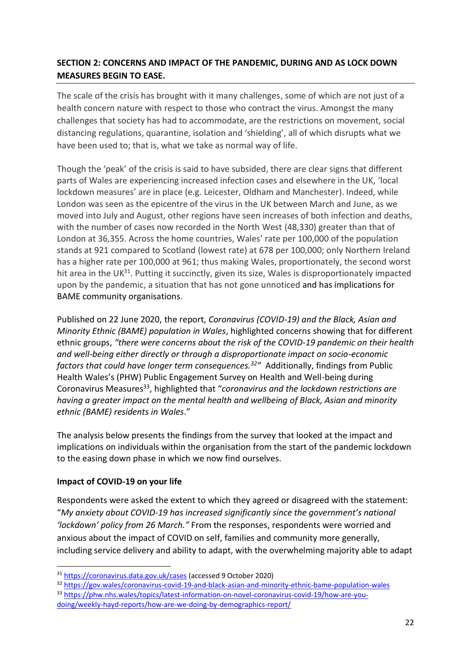# **SECTION 2: CONCERNS AND IMPACT OF THE PANDEMIC, DURING AND AS LOCK DOWN MEASURES BEGIN TO EASE.**

The scale of the crisis has brought with it many challenges, some of which are not just of a health concern nature with respect to those who contract the virus. Amongst the many challenges that society has had to accommodate, are the restrictions on movement, social distancing regulations, quarantine, isolation and 'shielding', all of which disrupts what we have been used to; that is, what we take as normal way of life.

Though the 'peak' of the crisis is said to have subsided, there are clear signs that different parts of Wales are experiencing increased infection cases and elsewhere in the UK, 'local lockdown measures' are in place (e.g. Leicester, Oldham and Manchester). Indeed, while London was seen as the epicentre of the virus in the UK between March and June, as we moved into July and August, other regions have seen increases of both infection and deaths, with the number of cases now recorded in the North West (48,330) greater than that of London at 36,355. Across the home countries, Wales' rate per 100,000 of the population stands at 921 compared to Scotland (lowest rate) at 678 per 100,000; only Northern Ireland has a higher rate per 100,000 at 961; thus making Wales, proportionately, the second worst hit area in the UK<sup>31</sup>. Putting it succinctly, given its size, Wales is disproportionately impacted upon by the pandemic, a situation that has not gone unnoticed and has implications for BAME community organisations.

Published on 22 June 2020, the report, *Coronavirus (COVID-19) and the Black, Asian and Minority Ethnic (BAME) population in Wales*, highlighted concerns showing that for different ethnic groups, *"there were concerns about the risk of the COVID-19 pandemic on their health and well-being either directly or through a disproportionate impact on socio-economic factors that could have longer term consequences.<sup>32</sup> "* Additionally, findings from Public Health Wales's (PHW) Public Engagement Survey on Health and Well-being during Coronavirus Measures<sup>33</sup>, highlighted that "coronavirus and the lockdown restrictions are *having a greater impact on the mental health and wellbeing of Black, Asian and minority ethnic (BAME) residents in Wales*."

The analysis below presents the findings from the survey that looked at the impact and implications on individuals within the organisation from the start of the pandemic lockdown to the easing down phase in which we now find ourselves.

#### **Impact of COVID-19 on your life**

Respondents were asked the extent to which they agreed or disagreed with the statement: "*My anxiety about COVID-19 has increased significantly since the government's national 'lockdown' policy from 26 March."* From the responses, respondents were worried and anxious about the impact of COVID on self, families and community more generally, including service delivery and ability to adapt, with the overwhelming majority able to adapt

<sup>33</sup> [https://phw.nhs.wales/topics/latest-information-on-novel-coronavirus-covid-19/how-are-you](https://phw.nhs.wales/topics/latest-information-on-novel-coronavirus-covid-19/how-are-you-doing/weekly-hayd-reports/how-are-we-doing-by-demographics-report/)[doing/weekly-hayd-reports/how-are-we-doing-by-demographics-report/](https://phw.nhs.wales/topics/latest-information-on-novel-coronavirus-covid-19/how-are-you-doing/weekly-hayd-reports/how-are-we-doing-by-demographics-report/)

<sup>31</sup> <https://coronavirus.data.gov.uk/cases> (accessed 9 October 2020)

<sup>32</sup> <https://gov.wales/coronavirus-covid-19-and-black-asian-and-minority-ethnic-bame-population-wales>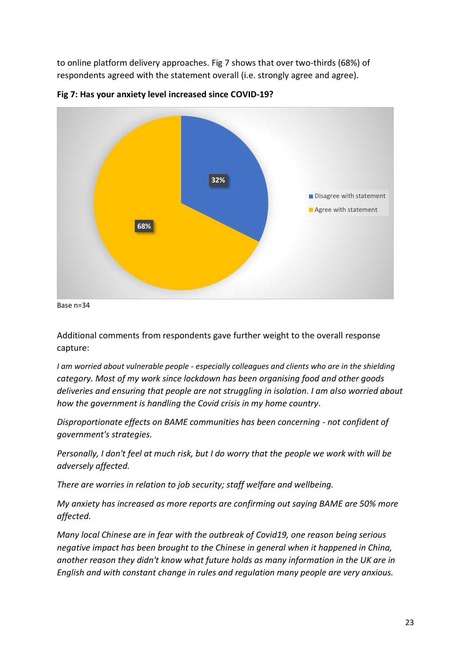to online platform delivery approaches. Fig 7 shows that over two-thirds (68%) of respondents agreed with the statement overall (i.e. strongly agree and agree).





Additional comments from respondents gave further weight to the overall response capture:

*I am worried about vulnerable people - especially colleagues and clients who are in the shielding category. Most of my work since lockdown has been organising food and other goods deliveries and ensuring that people are not struggling in isolation. I am also worried about how the government is handling the Covid crisis in my home country.*

*Disproportionate effects on BAME communities has been concerning - not confident of government's strategies.*

*Personally, I don't feel at much risk, but I do worry that the people we work with will be adversely affected.*

*There are worries in relation to job security; staff welfare and wellbeing.*

*My anxiety has increased as more reports are confirming out saying BAME are 50% more affected.*

*Many local Chinese are in fear with the outbreak of Covid19, one reason being serious negative impact has been brought to the Chinese in general when it happened in China, another reason they didn't know what future holds as many information in the UK are in English and with constant change in rules and regulation many people are very anxious.*

Base n=34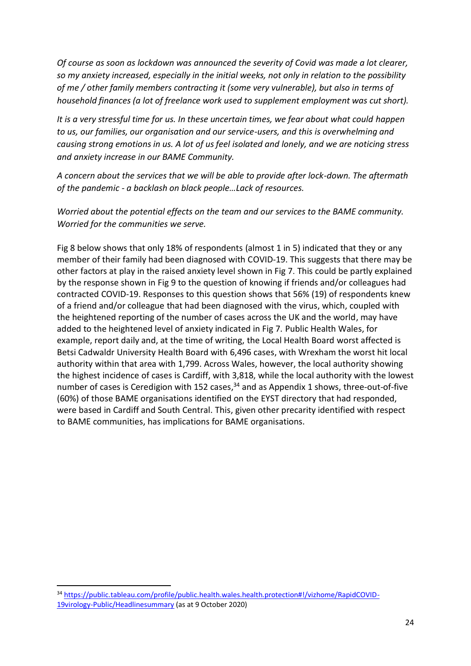*Of course as soon as lockdown was announced the severity of Covid was made a lot clearer, so my anxiety increased, especially in the initial weeks, not only in relation to the possibility of me / other family members contracting it (some very vulnerable), but also in terms of household finances (a lot of freelance work used to supplement employment was cut short).*

*It is a very stressful time for us. In these uncertain times, we fear about what could happen to us, our families, our organisation and our service-users, and this is overwhelming and causing strong emotions in us. A lot of us feel isolated and lonely, and we are noticing stress and anxiety increase in our BAME Community.*

*A concern about the services that we will be able to provide after lock-down. The aftermath of the pandemic - a backlash on black people…Lack of resources.*

*Worried about the potential effects on the team and our services to the BAME community. Worried for the communities we serve.*

Fig 8 below shows that only 18% of respondents (almost 1 in 5) indicated that they or any member of their family had been diagnosed with COVID-19. This suggests that there may be other factors at play in the raised anxiety level shown in Fig 7. This could be partly explained by the response shown in Fig 9 to the question of knowing if friends and/or colleagues had contracted COVID-19. Responses to this question shows that 56% (19) of respondents knew of a friend and/or colleague that had been diagnosed with the virus, which, coupled with the heightened reporting of the number of cases across the UK and the world, may have added to the heightened level of anxiety indicated in Fig 7. Public Health Wales, for example, report daily and, at the time of writing, the Local Health Board worst affected is Betsi Cadwaldr University Health Board with 6,496 cases, with Wrexham the worst hit local authority within that area with 1,799. Across Wales, however, the local authority showing the highest incidence of cases is Cardiff, with 3,818, while the local authority with the lowest number of cases is Ceredigion with 152 cases,<sup>34</sup> and as Appendix 1 shows, three-out-of-five (60%) of those BAME organisations identified on the EYST directory that had responded, were based in Cardiff and South Central. This, given other precarity identified with respect to BAME communities, has implications for BAME organisations.

<sup>34</sup> [https://public.tableau.com/profile/public.health.wales.health.protection#!/vizhome/RapidCOVID-](https://public.tableau.com/profile/public.health.wales.health.protection#!/vizhome/RapidCOVID-19virology-Public/Headlinesummary)[19virology-Public/Headlinesummary](https://public.tableau.com/profile/public.health.wales.health.protection#!/vizhome/RapidCOVID-19virology-Public/Headlinesummary) (as at 9 October 2020)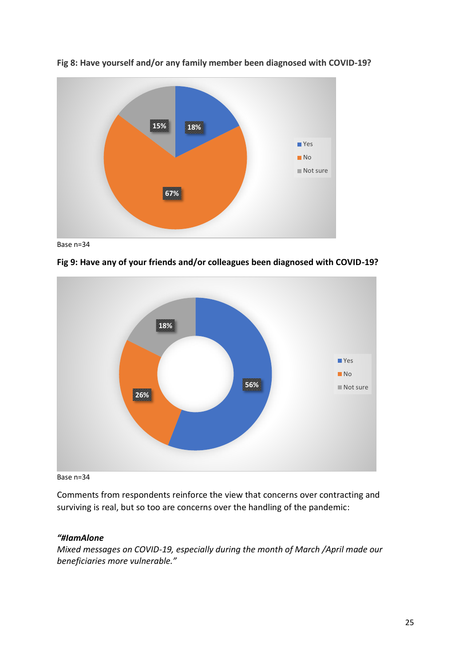

**Fig 8: Have yourself and/or any family member been diagnosed with COVID-19?** 

Base n=34



**Fig 9: Have any of your friends and/or colleagues been diagnosed with COVID-19?** 

Base n=34

Comments from respondents reinforce the view that concerns over contracting and surviving is real, but so too are concerns over the handling of the pandemic:

# *"#IamAlone*

*Mixed messages on COVID-19, especially during the month of March /April made our beneficiaries more vulnerable."*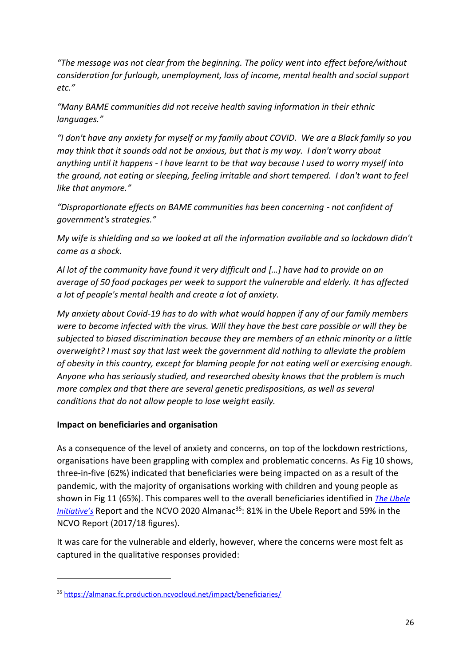*"The message was not clear from the beginning. The policy went into effect before/without consideration for furlough, unemployment, loss of income, mental health and social support etc."*

*"Many BAME communities did not receive health saving information in their ethnic languages."*

*"I don't have any anxiety for myself or my family about COVID. We are a Black family so you may think that it sounds odd not be anxious, but that is my way. I don't worry about anything until it happens - I have learnt to be that way because I used to worry myself into the ground, not eating or sleeping, feeling irritable and short tempered. I don't want to feel like that anymore."*

*"Disproportionate effects on BAME communities has been concerning - not confident of government's strategies."*

*My wife is shielding and so we looked at all the information available and so lockdown didn't come as a shock.*

*Al lot of the community have found it very difficult and […] have had to provide on an average of 50 food packages per week to support the vulnerable and elderly. It has affected a lot of people's mental health and create a lot of anxiety.*

*My anxiety about Covid-19 has to do with what would happen if any of our family members were to become infected with the virus. Will they have the best care possible or will they be subjected to biased discrimination because they are members of an ethnic minority or a little overweight? I must say that last week the government did nothing to alleviate the problem of obesity in this country, except for blaming people for not eating well or exercising enough. Anyone who has seriously studied, and researched obesity knows that the problem is much more complex and that there are several genetic predispositions, as well as several conditions that do not allow people to lose weight easily.*

#### **Impact on beneficiaries and organisation**

As a consequence of the level of anxiety and concerns, on top of the lockdown restrictions, organisations have been grappling with complex and problematic concerns. As Fig 10 shows, three-in-five (62%) indicated that beneficiaries were being impacted on as a result of the pandemic, with the majority of organisations working with children and young people as shown in Fig 11 (65%). This compares well to the overall beneficiaries identified in *[The Ubele](https://static1.squarespace.com/static/58f9e592440243412051314a/t/5eaab6e972a49d5a320cf3af/1588246258540/REPORT+Impact+of+COVID-19+on+the+BAME+Community+and+voluntary+sector%2C+30+April+2020.pdf)  [Initiative](https://static1.squarespace.com/static/58f9e592440243412051314a/t/5eaab6e972a49d5a320cf3af/1588246258540/REPORT+Impact+of+COVID-19+on+the+BAME+Community+and+voluntary+sector%2C+30+April+2020.pdf)'s* Report and the NCVO 2020 Almanac<sup>35</sup>: 81% in the Ubele Report and 59% in the NCVO Report (2017/18 figures).

It was care for the vulnerable and elderly, however, where the concerns were most felt as captured in the qualitative responses provided:

<sup>35</sup> <https://almanac.fc.production.ncvocloud.net/impact/beneficiaries/>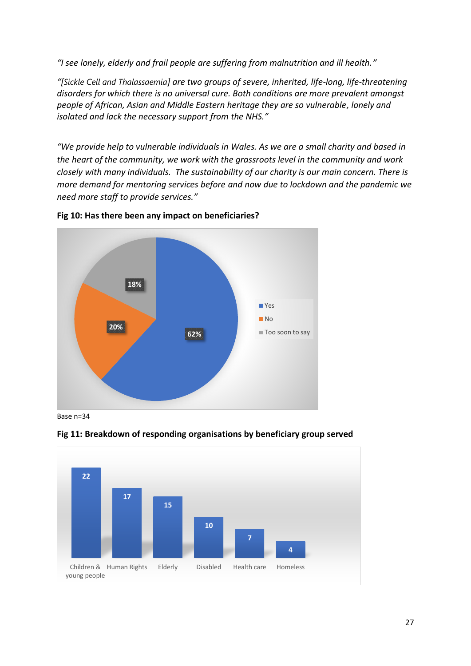*"I see lonely, elderly and frail people are suffering from malnutrition and ill health."*

*"[Sickle Cell and Thalassaemia] are two groups of severe, inherited, life-long, life-threatening disorders for which there is no universal cure. Both conditions are more prevalent amongst people of African, Asian and Middle Eastern heritage they are so vulnerable, lonely and isolated and lack the necessary support from the NHS."*

*"We provide help to vulnerable individuals in Wales. As we are a small charity and based in the heart of the community, we work with the grassroots level in the community and work closely with many individuals. The sustainability of our charity is our main concern. There is more demand for mentoring services before and now due to lockdown and the pandemic we need more staff to provide services."*





Base n=34



**Fig 11: Breakdown of responding organisations by beneficiary group served**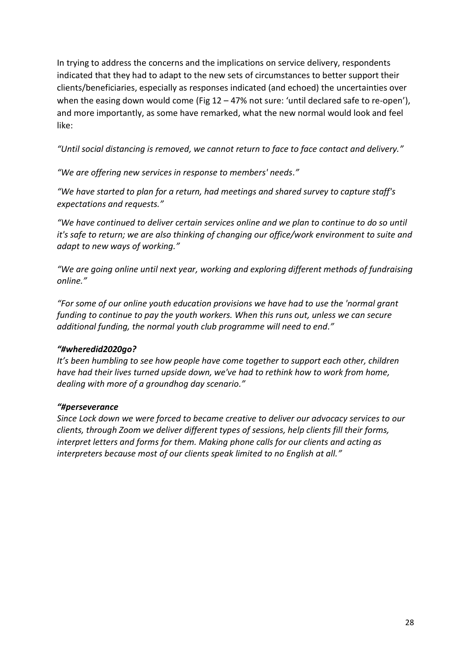In trying to address the concerns and the implications on service delivery, respondents indicated that they had to adapt to the new sets of circumstances to better support their clients/beneficiaries, especially as responses indicated (and echoed) the uncertainties over when the easing down would come (Fig  $12 - 47\%$  not sure: 'until declared safe to re-open'), and more importantly, as some have remarked, what the new normal would look and feel like:

*"Until social distancing is removed, we cannot return to face to face contact and delivery."*

*"We are offering new services in response to members' needs."*

*"We have started to plan for a return, had meetings and shared survey to capture staff's expectations and requests."*

*"We have continued to deliver certain services online and we plan to continue to do so until it's safe to return; we are also thinking of changing our office/work environment to suite and adapt to new ways of working."*

*"We are going online until next year, working and exploring different methods of fundraising online."*

*"For some of our online youth education provisions we have had to use the 'normal grant funding to continue to pay the youth workers. When this runs out, unless we can secure additional funding, the normal youth club programme will need to end."*

#### *"#wheredid2020go?*

*It's been humbling to see how people have come together to support each other, children have had their lives turned upside down, we've had to rethink how to work from home, dealing with more of a groundhog day scenario."*

#### *"#perseverance*

*Since Lock down we were forced to became creative to deliver our advocacy services to our clients, through Zoom we deliver different types of sessions, help clients fill their forms, interpret letters and forms for them. Making phone calls for our clients and acting as interpreters because most of our clients speak limited to no English at all."*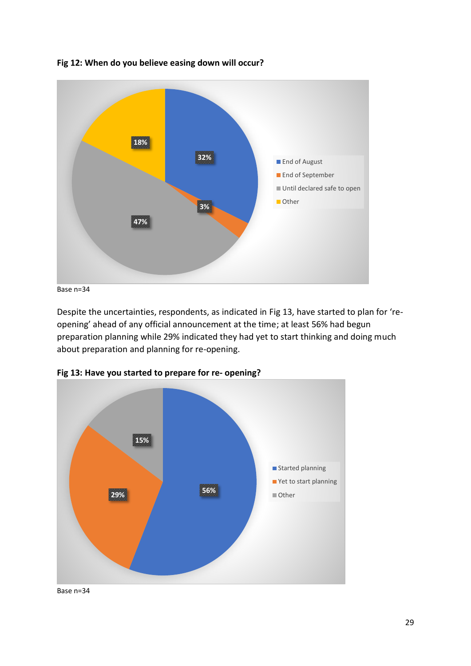

**Fig 12: When do you believe easing down will occur?** 

Base n=34

Despite the uncertainties, respondents, as indicated in Fig 13, have started to plan for 'reopening' ahead of any official announcement at the time; at least 56% had begun preparation planning while 29% indicated they had yet to start thinking and doing much about preparation and planning for re-opening.



**Fig 13: Have you started to prepare for re- opening?**

Base n=34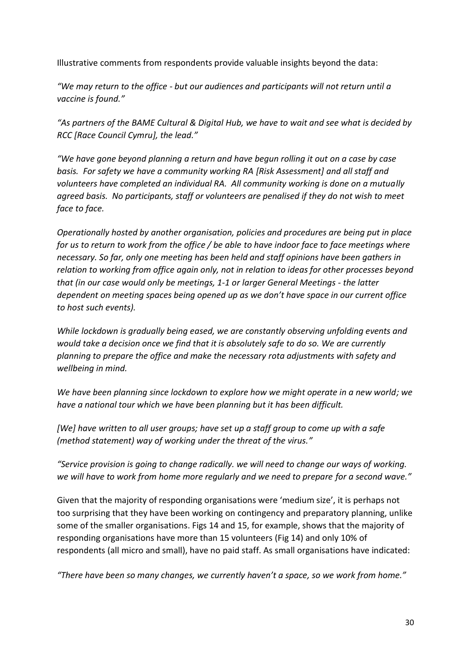Illustrative comments from respondents provide valuable insights beyond the data:

*"We may return to the office - but our audiences and participants will not return until a vaccine is found."*

*"As partners of the BAME Cultural & Digital Hub, we have to wait and see what is decided by RCC [Race Council Cymru], the lead."*

*"We have gone beyond planning a return and have begun rolling it out on a case by case basis. For safety we have a community working RA [Risk Assessment] and all staff and volunteers have completed an individual RA. All community working is done on a mutually agreed basis. No participants, staff or volunteers are penalised if they do not wish to meet face to face.*

*Operationally hosted by another organisation, policies and procedures are being put in place for us to return to work from the office / be able to have indoor face to face meetings where necessary. So far, only one meeting has been held and staff opinions have been gathers in relation to working from office again only, not in relation to ideas for other processes beyond that (in our case would only be meetings, 1-1 or larger General Meetings - the latter dependent on meeting spaces being opened up as we don't have space in our current office to host such events).*

*While lockdown is gradually being eased, we are constantly observing unfolding events and would take a decision once we find that it is absolutely safe to do so. We are currently planning to prepare the office and make the necessary rota adjustments with safety and wellbeing in mind.*

*We have been planning since lockdown to explore how we might operate in a new world; we have a national tour which we have been planning but it has been difficult.*

*[We] have written to all user groups; have set up a staff group to come up with a safe (method statement) way of working under the threat of the virus."*

*"Service provision is going to change radically. we will need to change our ways of working. we will have to work from home more regularly and we need to prepare for a second wave."*

Given that the majority of responding organisations were 'medium size', it is perhaps not too surprising that they have been working on contingency and preparatory planning, unlike some of the smaller organisations. Figs 14 and 15, for example, shows that the majority of responding organisations have more than 15 volunteers (Fig 14) and only 10% of respondents (all micro and small), have no paid staff. As small organisations have indicated:

*"There have been so many changes, we currently haven't a space, so we work from home."*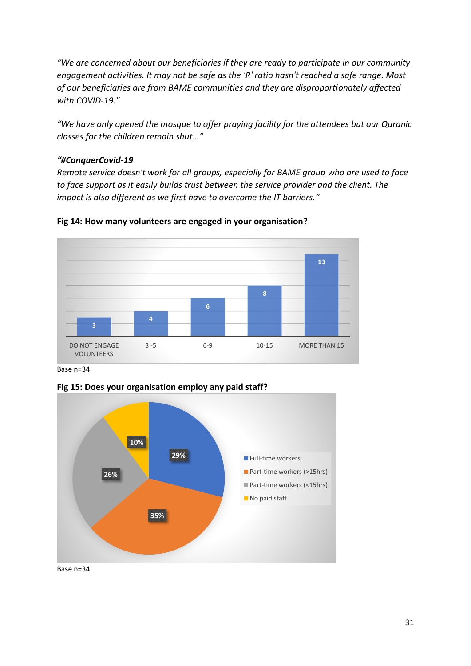*"We are concerned about our beneficiaries if they are ready to participate in our community engagement activities. It may not be safe as the 'R' ratio hasn't reached a safe range. Most of our beneficiaries are from BAME communities and they are disproportionately affected with COVID-19."*

*"We have only opened the mosque to offer praying facility for the attendees but our Quranic classes for the children remain shut…"*

#### *"#ConquerCovid-19*

*Remote service doesn't work for all groups, especially for BAME group who are used to face to face support as it easily builds trust between the service provider and the client. The impact is also different as we first have to overcome the IT barriers."*



#### **Fig 14: How many volunteers are engaged in your organisation?**

Base n=34



**Fig 15: Does your organisation employ any paid staff?**

Base n=34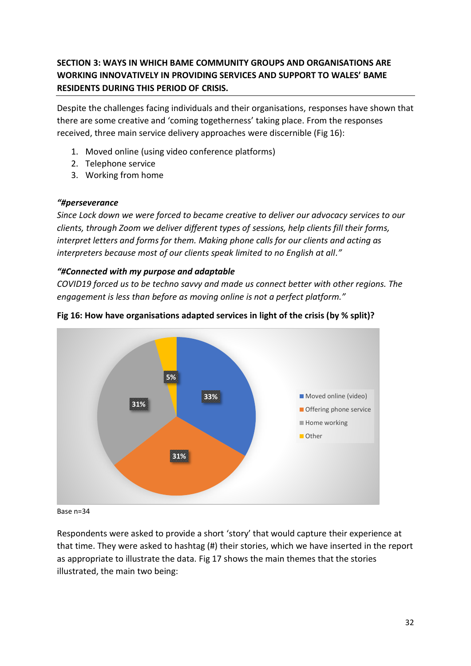# **SECTION 3: WAYS IN WHICH BAME COMMUNITY GROUPS AND ORGANISATIONS ARE WORKING INNOVATIVELY IN PROVIDING SERVICES AND SUPPORT TO WALES' BAME RESIDENTS DURING THIS PERIOD OF CRISIS.**

Despite the challenges facing individuals and their organisations, responses have shown that there are some creative and 'coming togetherness' taking place. From the responses received, three main service delivery approaches were discernible (Fig 16):

- 1. Moved online (using video conference platforms)
- 2. Telephone service
- 3. Working from home

#### *"#perseverance*

*Since Lock down we were forced to became creative to deliver our advocacy services to our clients, through Zoom we deliver different types of sessions, help clients fill their forms, interpret letters and forms for them. Making phone calls for our clients and acting as interpreters because most of our clients speak limited to no English at all."*

# *"#Connected with my purpose and adaptable*

*COVID19 forced us to be techno savvy and made us connect better with other regions. The engagement is less than before as moving online is not a perfect platform."*



# **Fig 16: How have organisations adapted services in light of the crisis (by % split)?**

Base n=34

Respondents were asked to provide a short 'story' that would capture their experience at that time. They were asked to hashtag (#) their stories, which we have inserted in the report as appropriate to illustrate the data. Fig 17 shows the main themes that the stories illustrated, the main two being: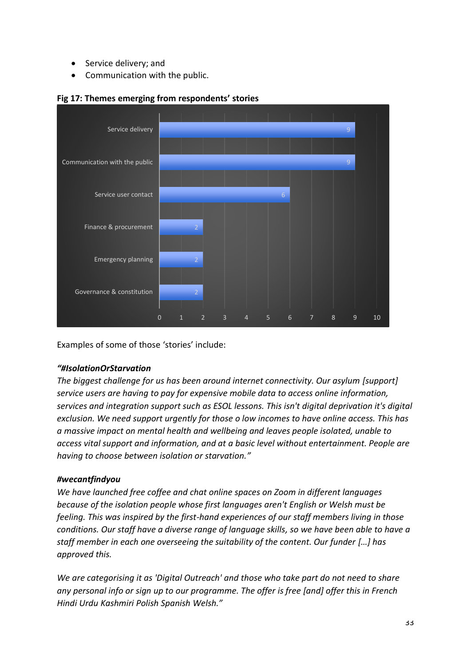- Service delivery; and
- Communication with the public.



#### **Fig 17: Themes emerging from respondents' stories**

Examples of some of those 'stories' include:

#### *"#IsolationOrStarvation*

*The biggest challenge for us has been around internet connectivity. Our asylum [support] service users are having to pay for expensive mobile data to access online information, services and integration support such as ESOL lessons. This isn't digital deprivation it's digital exclusion. We need support urgently for those o low incomes to have online access. This has a massive impact on mental health and wellbeing and leaves people isolated, unable to access vital support and information, and at a basic level without entertainment. People are having to choose between isolation or starvation."*

# *#wecantfindyou*

*We have launched free coffee and chat online spaces on Zoom in different languages because of the isolation people whose first languages aren't English or Welsh must be feeling. This was inspired by the first-hand experiences of our staff members living in those conditions. Our staff have a diverse range of language skills, so we have been able to have a staff member in each one overseeing the suitability of the content. Our funder [...] has approved this.* 

*We are categorising it as 'Digital Outreach' and those who take part do not need to share any personal info or sign up to our programme. The offer is free [and] offer this in French Hindi Urdu Kashmiri Polish Spanish Welsh."*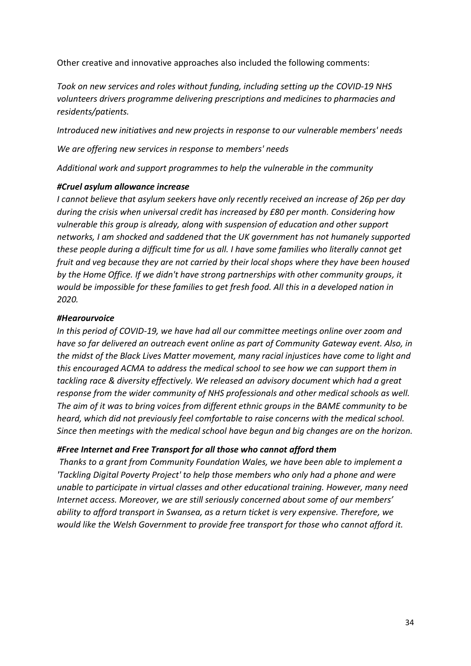Other creative and innovative approaches also included the following comments:

*Took on new services and roles without funding, including setting up the COVID-19 NHS volunteers drivers programme delivering prescriptions and medicines to pharmacies and residents/patients.*

*Introduced new initiatives and new projects in response to our vulnerable members' needs*

*We are offering new services in response to members' needs*

*Additional work and support programmes to help the vulnerable in the community*

#### *#Cruel asylum allowance increase*

*I cannot believe that asylum seekers have only recently received an increase of 26p per day during the crisis when universal credit has increased by £80 per month. Considering how vulnerable this group is already, along with suspension of education and other support networks, I am shocked and saddened that the UK government has not humanely supported these people during a difficult time for us all. I have some families who literally cannot get fruit and veg because they are not carried by their local shops where they have been housed by the Home Office. If we didn't have strong partnerships with other community groups, it would be impossible for these families to get fresh food. All this in a developed nation in 2020.*

#### *#Hearourvoice*

*In this period of COVID-19, we have had all our committee meetings online over zoom and have so far delivered an outreach event online as part of Community Gateway event. Also, in the midst of the Black Lives Matter movement, many racial injustices have come to light and this encouraged ACMA to address the medical school to see how we can support them in tackling race & diversity effectively. We released an advisory document which had a great response from the wider community of NHS professionals and other medical schools as well. The aim of it was to bring voices from different ethnic groups in the BAME community to be heard, which did not previously feel comfortable to raise concerns with the medical school. Since then meetings with the medical school have begun and big changes are on the horizon.*

#### *#Free Internet and Free Transport for all those who cannot afford them*

*Thanks to a grant from Community Foundation Wales, we have been able to implement a 'Tackling Digital Poverty Project' to help those members who only had a phone and were unable to participate in virtual classes and other educational training. However, many need Internet access. Moreover, we are still seriously concerned about some of our members' ability to afford transport in Swansea, as a return ticket is very expensive. Therefore, we would like the Welsh Government to provide free transport for those who cannot afford it.*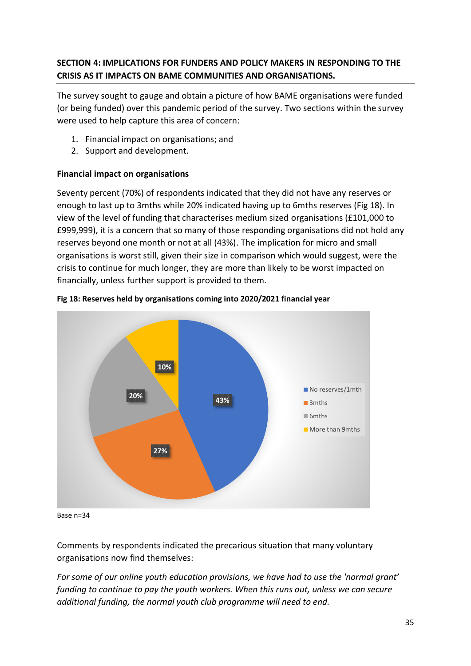# **SECTION 4: IMPLICATIONS FOR FUNDERS AND POLICY MAKERS IN RESPONDING TO THE CRISIS AS IT IMPACTS ON BAME COMMUNITIES AND ORGANISATIONS.**

The survey sought to gauge and obtain a picture of how BAME organisations were funded (or being funded) over this pandemic period of the survey. Two sections within the survey were used to help capture this area of concern:

- 1. Financial impact on organisations; and
- 2. Support and development.

# **Financial impact on organisations**

Seventy percent (70%) of respondents indicated that they did not have any reserves or enough to last up to 3mths while 20% indicated having up to 6mths reserves (Fig 18). In view of the level of funding that characterises medium sized organisations (£101,000 to £999,999), it is a concern that so many of those responding organisations did not hold any reserves beyond one month or not at all (43%). The implication for micro and small organisations is worst still, given their size in comparison which would suggest, were the crisis to continue for much longer, they are more than likely to be worst impacted on financially, unless further support is provided to them.





Base n=34

Comments by respondents indicated the precarious situation that many voluntary organisations now find themselves:

*For some of our online youth education provisions, we have had to use the 'normal grant' funding to continue to pay the youth workers. When this runs out, unless we can secure additional funding, the normal youth club programme will need to end.*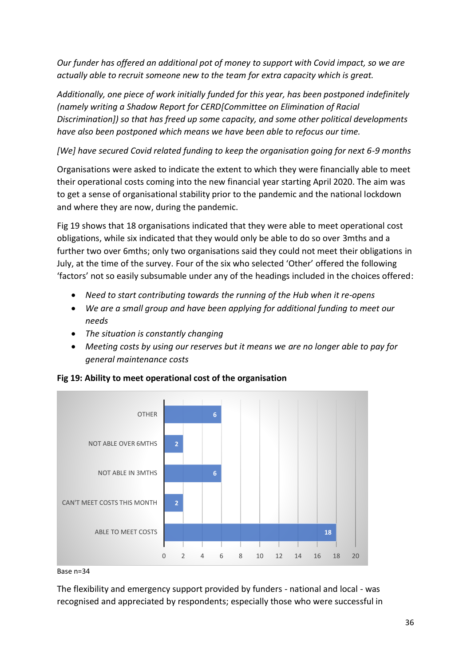*Our funder has offered an additional pot of money to support with Covid impact, so we are actually able to recruit someone new to the team for extra capacity which is great.* 

*Additionally, one piece of work initially funded for this year, has been postponed indefinitely (namely writing a Shadow Report for CERD[Committee on Elimination of Racial Discrimination]) so that has freed up some capacity, and some other political developments have also been postponed which means we have been able to refocus our time.*

*[We] have secured Covid related funding to keep the organisation going for next 6-9 months*

Organisations were asked to indicate the extent to which they were financially able to meet their operational costs coming into the new financial year starting April 2020. The aim was to get a sense of organisational stability prior to the pandemic and the national lockdown and where they are now, during the pandemic.

Fig 19 shows that 18 organisations indicated that they were able to meet operational cost obligations, while six indicated that they would only be able to do so over 3mths and a further two over 6mths; only two organisations said they could not meet their obligations in July, at the time of the survey. Four of the six who selected 'Other' offered the following 'factors' not so easily subsumable under any of the headings included in the choices offered:

- *Need to start contributing towards the running of the Hub when it re-opens*
- *We are a small group and have been applying for additional funding to meet our needs*
- *The situation is constantly changing*
- *Meeting costs by using our reserves but it means we are no longer able to pay for general maintenance costs*



**Fig 19: Ability to meet operational cost of the organisation**

The flexibility and emergency support provided by funders - national and local - was recognised and appreciated by respondents; especially those who were successful in

Base n=34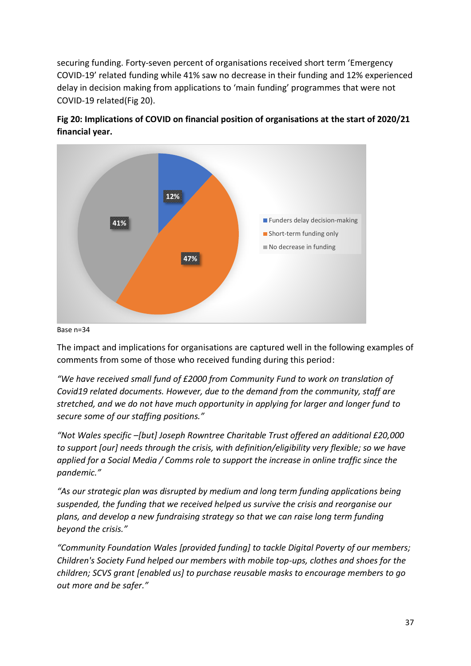securing funding. Forty-seven percent of organisations received short term 'Emergency COVID-19' related funding while 41% saw no decrease in their funding and 12% experienced delay in decision making from applications to 'main funding' programmes that were not COVID-19 related(Fig 20).



**Fig 20: Implications of COVID on financial position of organisations at the start of 2020/21 financial year.** 

#### Base n=34

The impact and implications for organisations are captured well in the following examples of comments from some of those who received funding during this period:

*"We have received small fund of £2000 from Community Fund to work on translation of Covid19 related documents. However, due to the demand from the community, staff are stretched, and we do not have much opportunity in applying for larger and longer fund to secure some of our staffing positions."*

*"Not Wales specific –[but] Joseph Rowntree Charitable Trust offered an additional £20,000 to support [our] needs through the crisis, with definition/eligibility very flexible; so we have applied for a Social Media / Comms role to support the increase in online traffic since the pandemic."*

*"As our strategic plan was disrupted by medium and long term funding applications being suspended, the funding that we received helped us survive the crisis and reorganise our plans, and develop a new fundraising strategy so that we can raise long term funding beyond the crisis."*

*"Community Foundation Wales [provided funding] to tackle Digital Poverty of our members; Children's Society Fund helped our members with mobile top-ups, clothes and shoes for the children; SCVS grant [enabled us] to purchase reusable masks to encourage members to go out more and be safer."*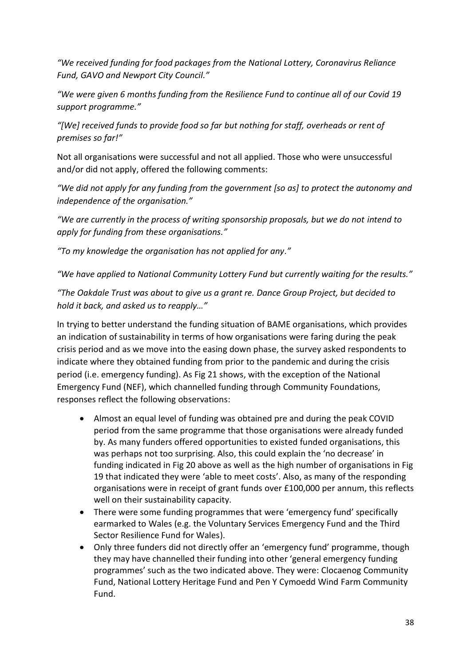*"We received funding for food packages from the National Lottery, Coronavirus Reliance Fund, GAVO and Newport City Council."*

*"We were given 6 months funding from the Resilience Fund to continue all of our Covid 19 support programme."*

*"[We] received funds to provide food so far but nothing for staff, overheads or rent of premises so far!"*

Not all organisations were successful and not all applied. Those who were unsuccessful and/or did not apply, offered the following comments:

*"We did not apply for any funding from the government [so as] to protect the autonomy and independence of the organisation."*

*"We are currently in the process of writing sponsorship proposals, but we do not intend to apply for funding from these organisations."*

*"To my knowledge the organisation has not applied for any."*

*"We have applied to National Community Lottery Fund but currently waiting for the results."*

*"The Oakdale Trust was about to give us a grant re. Dance Group Project, but decided to hold it back, and asked us to reapply…"*

In trying to better understand the funding situation of BAME organisations, which provides an indication of sustainability in terms of how organisations were faring during the peak crisis period and as we move into the easing down phase, the survey asked respondents to indicate where they obtained funding from prior to the pandemic and during the crisis period (i.e. emergency funding). As Fig 21 shows, with the exception of the National Emergency Fund (NEF), which channelled funding through Community Foundations, responses reflect the following observations:

- Almost an equal level of funding was obtained pre and during the peak COVID period from the same programme that those organisations were already funded by. As many funders offered opportunities to existed funded organisations, this was perhaps not too surprising. Also, this could explain the 'no decrease' in funding indicated in Fig 20 above as well as the high number of organisations in Fig 19 that indicated they were 'able to meet costs'. Also, as many of the responding organisations were in receipt of grant funds over £100,000 per annum, this reflects well on their sustainability capacity.
- There were some funding programmes that were 'emergency fund' specifically earmarked to Wales (e.g. the Voluntary Services Emergency Fund and the Third Sector Resilience Fund for Wales).
- Only three funders did not directly offer an 'emergency fund' programme, though they may have channelled their funding into other 'general emergency funding programmes' such as the two indicated above. They were: Clocaenog Community Fund, National Lottery Heritage Fund and Pen Y Cymoedd Wind Farm Community Fund.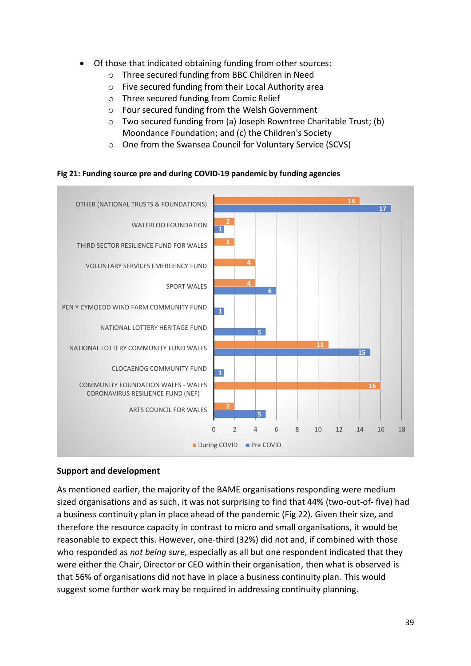- Of those that indicated obtaining funding from other sources:
	- o Three secured funding from BBC Children in Need
	- o Five secured funding from their Local Authority area
	- o Three secured funding from Comic Relief
	- o Four secured funding from the Welsh Government
	- o Two secured funding from (a) Joseph Rowntree Charitable Trust; (b) Moondance Foundation; and (c) the Children's Society
	- o One from the Swansea Council for Voluntary Service (SCVS)

#### **Fig 21: Funding source pre and during COVID-19 pandemic by funding agencies**



#### **Support and development**

As mentioned earlier, the majority of the BAME organisations responding were medium sized organisations and as such, it was not surprising to find that 44% (two-out-of- five) had a business continuity plan in place ahead of the pandemic (Fig 22). Given their size, and therefore the resource capacity in contrast to micro and small organisations, it would be reasonable to expect this. However, one-third (32%) did not and, if combined with those who responded as *not being sure,* especially as all but one respondent indicated that they were either the Chair, Director or CEO within their organisation, then what is observed is that 56% of organisations did not have in place a business continuity plan. This would suggest some further work may be required in addressing continuity planning.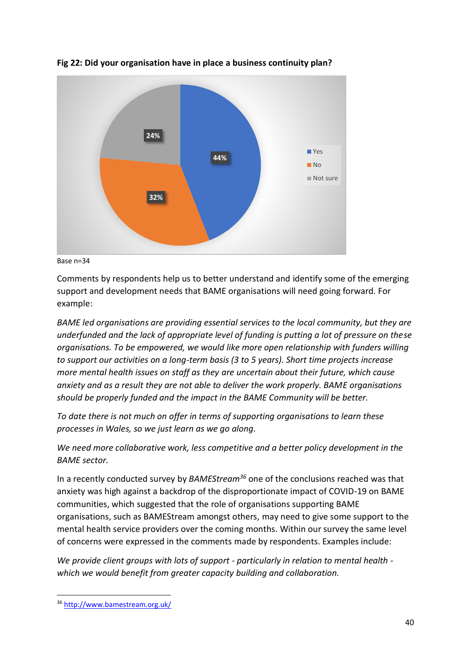

**Fig 22: Did your organisation have in place a business continuity plan?** 



Comments by respondents help us to better understand and identify some of the emerging support and development needs that BAME organisations will need going forward. For example:

*BAME led organisations are providing essential services to the local community, but they are underfunded and the lack of appropriate level of funding is putting a lot of pressure on these organisations. To be empowered, we would like more open relationship with funders willing to support our activities on a long-term basis (3 to 5 years). Short time projects increase more mental health issues on staff as they are uncertain about their future, which cause anxiety and as a result they are not able to deliver the work properly. BAME organisations should be properly funded and the impact in the BAME Community will be better.*

*To date there is not much on offer in terms of supporting organisations to learn these processes in Wales, so we just learn as we go along.*

*We need more collaborative work, less competitive and a better policy development in the BAME sector.*

In a recently conducted survey by *BAMEStream<sup>36</sup>* one of the conclusions reached was that anxiety was high against a backdrop of the disproportionate impact of COVID-19 on BAME communities, which suggested that the role of organisations supporting BAME organisations, such as BAMEStream amongst others, may need to give some support to the mental health service providers over the coming months. Within our survey the same level of concerns were expressed in the comments made by respondents. Examples include:

*We provide client groups with lots of support - particularly in relation to mental health which we would benefit from greater capacity building and collaboration.*

<sup>36</sup> <http://www.bamestream.org.uk/>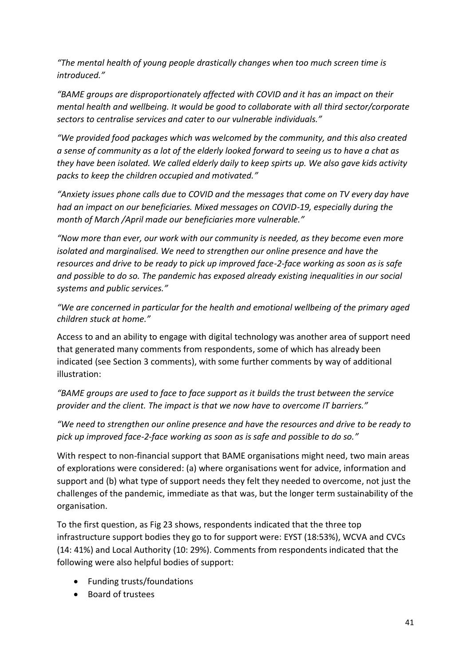*"The mental health of young people drastically changes when too much screen time is introduced."*

*"BAME groups are disproportionately affected with COVID and it has an impact on their mental health and wellbeing. It would be good to collaborate with all third sector/corporate sectors to centralise services and cater to our vulnerable individuals."*

*"We provided food packages which was welcomed by the community, and this also created a sense of community as a lot of the elderly looked forward to seeing us to have a chat as they have been isolated. We called elderly daily to keep spirts up. We also gave kids activity packs to keep the children occupied and motivated."*

*"Anxiety issues phone calls due to COVID and the messages that come on TV every day have had an impact on our beneficiaries. Mixed messages on COVID-19, especially during the month of March /April made our beneficiaries more vulnerable."*

*"Now more than ever, our work with our community is needed, as they become even more isolated and marginalised. We need to strengthen our online presence and have the resources and drive to be ready to pick up improved face-2-face working as soon as is safe and possible to do so. The pandemic has exposed already existing inequalities in our social systems and public services."*

*"We are concerned in particular for the health and emotional wellbeing of the primary aged children stuck at home."*

Access to and an ability to engage with digital technology was another area of support need that generated many comments from respondents, some of which has already been indicated (see Section 3 comments), with some further comments by way of additional illustration:

*"BAME groups are used to face to face support as it builds the trust between the service provider and the client. The impact is that we now have to overcome IT barriers."*

*"We need to strengthen our online presence and have the resources and drive to be ready to pick up improved face-2-face working as soon as is safe and possible to do so."*

With respect to non-financial support that BAME organisations might need, two main areas of explorations were considered: (a) where organisations went for advice, information and support and (b) what type of support needs they felt they needed to overcome, not just the challenges of the pandemic, immediate as that was, but the longer term sustainability of the organisation.

To the first question, as Fig 23 shows, respondents indicated that the three top infrastructure support bodies they go to for support were: EYST (18:53%), WCVA and CVCs (14: 41%) and Local Authority (10: 29%). Comments from respondents indicated that the following were also helpful bodies of support:

- Funding trusts/foundations
- Board of trustees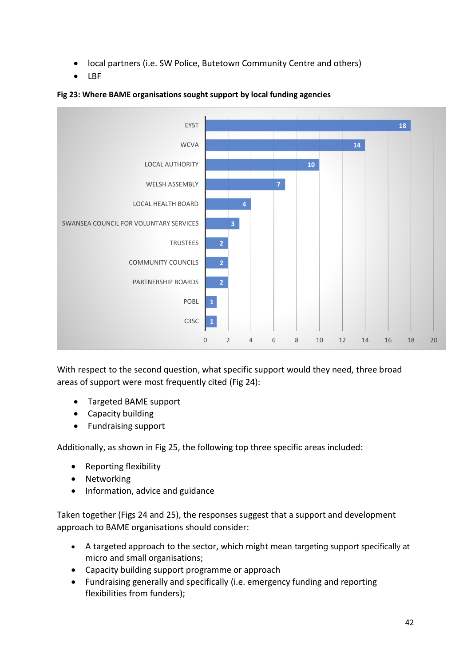- local partners (i.e. SW Police, Butetown Community Centre and others)
- LBF



#### **Fig 23: Where BAME organisations sought support by local funding agencies**

With respect to the second question, what specific support would they need, three broad areas of support were most frequently cited (Fig 24):

- Targeted BAME support
- Capacity building
- Fundraising support

Additionally, as shown in Fig 25, the following top three specific areas included:

- Reporting flexibility
- Networking
- Information, advice and guidance

Taken together (Figs 24 and 25), the responses suggest that a support and development approach to BAME organisations should consider:

- A targeted approach to the sector, which might mean targeting support specifically at micro and small organisations;
- Capacity building support programme or approach
- Fundraising generally and specifically (i.e. emergency funding and reporting flexibilities from funders);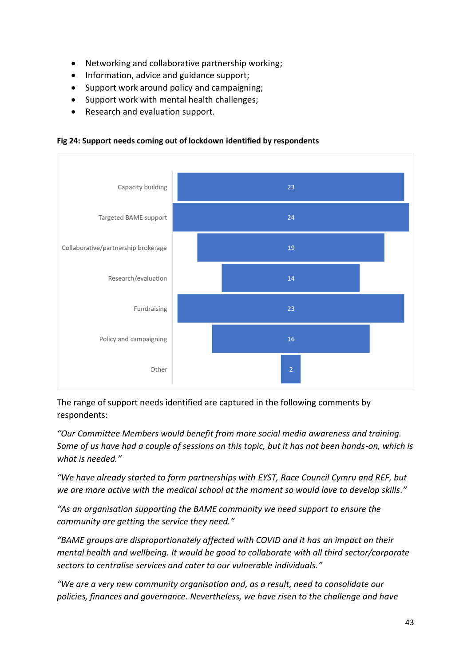- Networking and collaborative partnership working;
- Information, advice and guidance support:
- Support work around policy and campaigning;
- Support work with mental health challenges;
- Research and evaluation support.

**Fig 24: Support needs coming out of lockdown identified by respondents**



The range of support needs identified are captured in the following comments by respondents:

*"Our Committee Members would benefit from more social media awareness and training. Some of us have had a couple of sessions on this topic, but it has not been hands-on, which is what is needed."*

*"We have already started to form partnerships with EYST, Race Council Cymru and REF, but we are more active with the medical school at the moment so would love to develop skills."*

*"As an organisation supporting the BAME community we need support to ensure the community are getting the service they need."*

*"BAME groups are disproportionately affected with COVID and it has an impact on their mental health and wellbeing. It would be good to collaborate with all third sector/corporate sectors to centralise services and cater to our vulnerable individuals."*

*"We are a very new community organisation and, as a result, need to consolidate our policies, finances and governance. Nevertheless, we have risen to the challenge and have*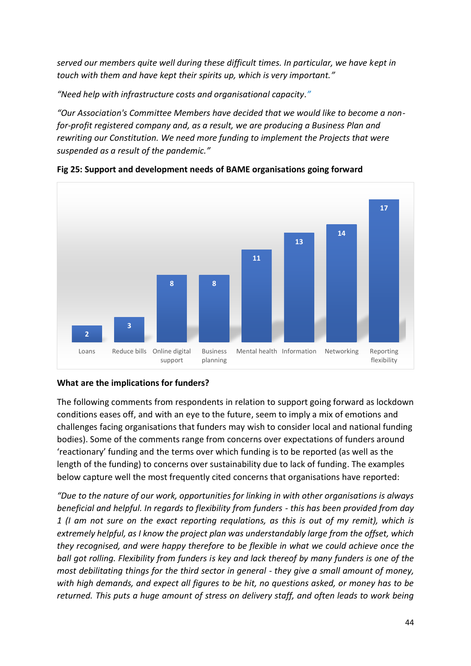*served our members quite well during these difficult times. In particular, we have kept in touch with them and have kept their spirits up, which is very important."*

*"Need help with infrastructure costs and organisational capacity."*

*"Our Association's Committee Members have decided that we would like to become a nonfor-profit registered company and, as a result, we are producing a Business Plan and rewriting our Constitution. We need more funding to implement the Projects that were suspended as a result of the pandemic."*



**Fig 25: Support and development needs of BAME organisations going forward**

#### **What are the implications for funders?**

The following comments from respondents in relation to support going forward as lockdown conditions eases off, and with an eye to the future, seem to imply a mix of emotions and challenges facing organisations that funders may wish to consider local and national funding bodies). Some of the comments range from concerns over expectations of funders around 'reactionary' funding and the terms over which funding is to be reported (as well as the length of the funding) to concerns over sustainability due to lack of funding. The examples below capture well the most frequently cited concerns that organisations have reported:

*"Due to the nature of our work, opportunities for linking in with other organisations is always beneficial and helpful. In regards to flexibility from funders - this has been provided from day 1 (I am not sure on the exact reporting requlations, as this is out of my remit), which is extremely helpful, as I know the project plan was understandably large from the offset, which they recognised, and were happy therefore to be flexible in what we could achieve once the ball got rolling. Flexibility from funders is key and lack thereof by many funders is one of the most debilitating things for the third sector in general - they give a small amount of money, with high demands, and expect all figures to be hit, no questions asked, or money has to be returned. This puts a huge amount of stress on delivery staff, and often leads to work being*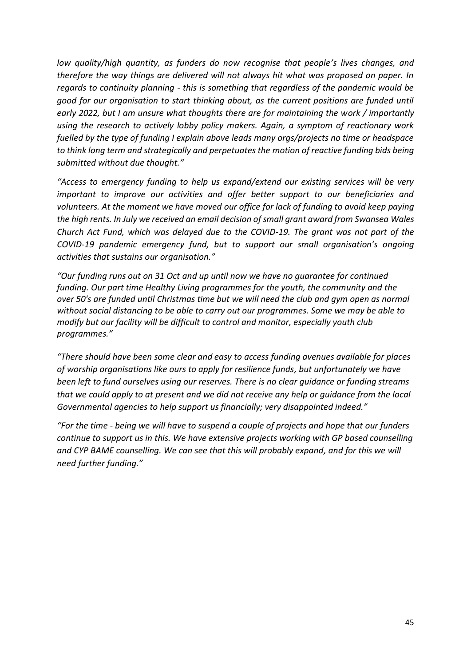*low quality/high quantity, as funders do now recognise that people's lives changes, and therefore the way things are delivered will not always hit what was proposed on paper. In regards to continuity planning - this is something that regardless of the pandemic would be good for our organisation to start thinking about, as the current positions are funded until early 2022, but I am unsure what thoughts there are for maintaining the work / importantly using the research to actively lobby policy makers. Again, a symptom of reactionary work fuelled by the type of funding I explain above leads many orgs/projects no time or headspace to think long term and strategically and perpetuates the motion of reactive funding bids being submitted without due thought."*

*"Access to emergency funding to help us expand/extend our existing services will be very important to improve our activities and offer better support to our beneficiaries and volunteers. At the moment we have moved our office for lack of funding to avoid keep paying the high rents. In July we received an email decision of small grant award from Swansea Wales Church Act Fund, which was delayed due to the COVID-19. The grant was not part of the COVID-19 pandemic emergency fund, but to support our small organisation's ongoing activities that sustains our organisation."*

*"Our funding runs out on 31 Oct and up until now we have no guarantee for continued funding. Our part time Healthy Living programmes for the youth, the community and the over 50's are funded until Christmas time but we will need the club and gym open as normal without social distancing to be able to carry out our programmes. Some we may be able to modify but our facility will be difficult to control and monitor, especially youth club programmes."*

*"There should have been some clear and easy to access funding avenues available for places of worship organisations like ours to apply for resilience funds, but unfortunately we have been left to fund ourselves using our reserves. There is no clear guidance or funding streams that we could apply to at present and we did not receive any help or guidance from the local Governmental agencies to help support us financially; very disappointed indeed."*

*"For the time - being we will have to suspend a couple of projects and hope that our funders continue to support us in this. We have extensive projects working with GP based counselling and CYP BAME counselling. We can see that this will probably expand, and for this we will need further funding."*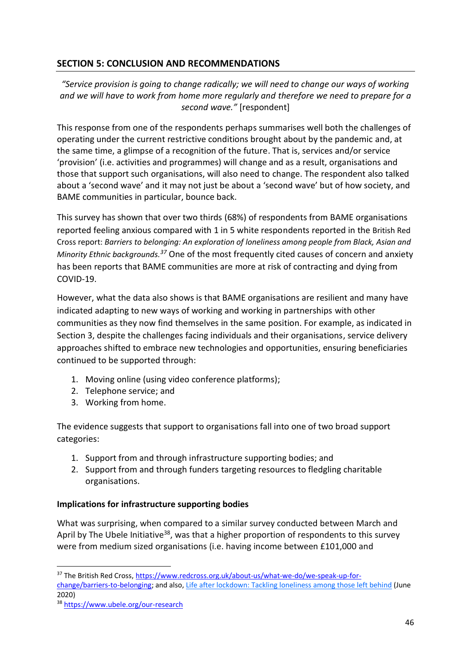# **SECTION 5: CONCLUSION AND RECOMMENDATIONS**

*"Service provision is going to change radically; we will need to change our ways of working and we will have to work from home more regularly and therefore we need to prepare for a second wave."* [respondent]

This response from one of the respondents perhaps summarises well both the challenges of operating under the current restrictive conditions brought about by the pandemic and, at the same time, a glimpse of a recognition of the future. That is, services and/or service 'provision' (i.e. activities and programmes) will change and as a result, organisations and those that support such organisations, will also need to change. The respondent also talked about a 'second wave' and it may not just be about a 'second wave' but of how society, and BAME communities in particular, bounce back.

This survey has shown that over two thirds (68%) of respondents from BAME organisations reported feeling anxious compared with 1 in 5 white respondents reported in the British Red Cross report: *Barriers to belonging: An exploration of loneliness among people from Black, Asian and Minority Ethnic backgrounds. <sup>37</sup>* One of the most frequently cited causes of concern and anxiety has been reports that BAME communities are more at risk of contracting and dying from COVID-19.

However, what the data also shows is that BAME organisations are resilient and many have indicated adapting to new ways of working and working in partnerships with other communities as they now find themselves in the same position. For example, as indicated in Section 3, despite the challenges facing individuals and their organisations, service delivery approaches shifted to embrace new technologies and opportunities, ensuring beneficiaries continued to be supported through:

- 1. Moving online (using video conference platforms);
- 2. Telephone service; and
- 3. Working from home.

The evidence suggests that support to organisations fall into one of two broad support categories:

- 1. Support from and through infrastructure supporting bodies; and
- 2. Support from and through funders targeting resources to fledgling charitable organisations.

#### **Implications for infrastructure supporting bodies**

What was surprising, when compared to a similar survey conducted between March and April by The Ubele Initiative<sup>38</sup>, was that a higher proportion of respondents to this survey were from medium sized organisations (i.e. having income between £101,000 and

<sup>&</sup>lt;sup>37</sup> The British Red Cross[, https://www.redcross.org.uk/about-us/what-we-do/we-speak-up-for](https://www.redcross.org.uk/about-us/what-we-do/we-speak-up-for-change/barriers-to-belonging)[change/barriers-to-belonging;](https://www.redcross.org.uk/about-us/what-we-do/we-speak-up-for-change/barriers-to-belonging) and also, [Life after lockdown: Tackling loneliness among those left behind](https://www.redcross.org.uk/-/media/documents/about-us/research-publications/health-and-social-care/life-after-lockdown-tackling-loneliness-among-those-left-behind-report.pdf) (June 2020)

<sup>38</sup> <https://www.ubele.org/our-research>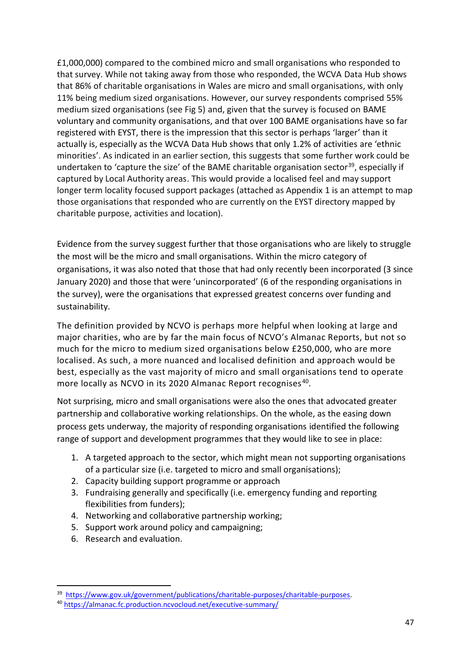£1,000,000) compared to the combined micro and small organisations who responded to that survey. While not taking away from those who responded, the WCVA Data Hub shows that 86% of charitable organisations in Wales are micro and small organisations, with only 11% being medium sized organisations. However, our survey respondents comprised 55% medium sized organisations (see Fig 5) and, given that the survey is focused on BAME voluntary and community organisations, and that over 100 BAME organisations have so far registered with EYST, there is the impression that this sector is perhaps 'larger' than it actually is, especially as the WCVA Data Hub shows that only 1.2% of activities are 'ethnic minorities'. As indicated in an earlier section, this suggests that some further work could be undertaken to 'capture the size' of the BAME charitable organisation sector<sup>39</sup>, especially if captured by Local Authority areas. This would provide a localised feel and may support longer term locality focused support packages (attached as Appendix 1 is an attempt to map those organisations that responded who are currently on the EYST directory mapped by charitable purpose, activities and location).

Evidence from the survey suggest further that those organisations who are likely to struggle the most will be the micro and small organisations. Within the micro category of organisations, it was also noted that those that had only recently been incorporated (3 since January 2020) and those that were 'unincorporated' (6 of the responding organisations in the survey), were the organisations that expressed greatest concerns over funding and sustainability.

The definition provided by NCVO is perhaps more helpful when looking at large and major charities, who are by far the main focus of NCVO's Almanac Reports, but not so much for the micro to medium sized organisations below £250,000, who are more localised. As such, a more nuanced and localised definition and approach would be best, especially as the vast majority of micro and small organisations tend to operate more locally as NCVO in its 2020 Almanac Report recognises<sup>40</sup>.

Not surprising, micro and small organisations were also the ones that advocated greater partnership and collaborative working relationships. On the whole, as the easing down process gets underway, the majority of responding organisations identified the following range of support and development programmes that they would like to see in place:

- 1. A targeted approach to the sector, which might mean not supporting organisations of a particular size (i.e. targeted to micro and small organisations);
- 2. Capacity building support programme or approach
- 3. Fundraising generally and specifically (i.e. emergency funding and reporting flexibilities from funders);
- 4. Networking and collaborative partnership working;
- 5. Support work around policy and campaigning;
- 6. Research and evaluation.

<sup>&</sup>lt;sup>39</sup> [https://www.gov.uk/government/publications/charitable-purposes/charitable-purposes.](https://www.gov.uk/government/publications/charitable-purposes/charitable-purposes)

<sup>40</sup> <https://almanac.fc.production.ncvocloud.net/executive-summary/>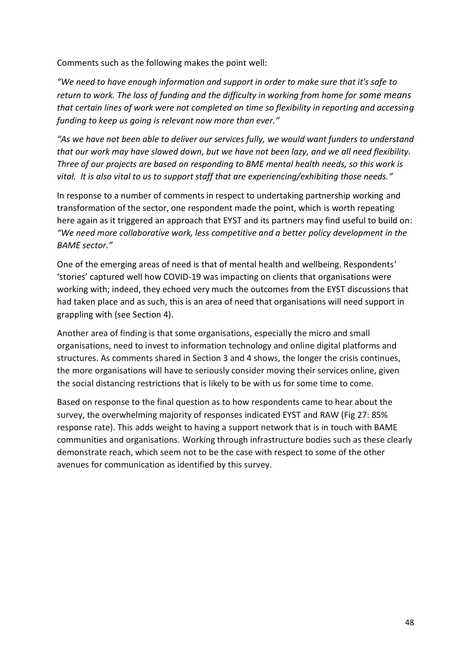Comments such as the following makes the point well:

*"We need to have enough information and support in order to make sure that it's safe to return to work. The loss of funding and the difficulty in working from home for some means that certain lines of work were not completed on time so flexibility in reporting and accessing funding to keep us going is relevant now more than ever."*

*"As we have not been able to deliver our services fully, we would want funders to understand that our work may have slowed down, but we have not been lazy, and we all need flexibility. Three of our projects are based on responding to BME mental health needs, so this work is vital. It is also vital to us to support staff that are experiencing/exhibiting those needs."*

In response to a number of comments in respect to undertaking partnership working and transformation of the sector, one respondent made the point, which is worth repeating here again as it triggered an approach that EYST and its partners may find useful to build on: *"We need more collaborative work, less competitive and a better policy development in the BAME sector."*

One of the emerging areas of need is that of mental health and wellbeing. Respondents' 'stories' captured well how COVID-19 was impacting on clients that organisations were working with; indeed, they echoed very much the outcomes from the EYST discussions that had taken place and as such, this is an area of need that organisations will need support in grappling with (see Section 4).

Another area of finding is that some organisations, especially the micro and small organisations, need to invest to information technology and online digital platforms and structures. As comments shared in Section 3 and 4 shows, the longer the crisis continues, the more organisations will have to seriously consider moving their services online, given the social distancing restrictions that is likely to be with us for some time to come.

Based on response to the final question as to how respondents came to hear about the survey, the overwhelming majority of responses indicated EYST and RAW (Fig 27: 85% response rate). This adds weight to having a support network that is in touch with BAME communities and organisations. Working through infrastructure bodies such as these clearly demonstrate reach, which seem not to be the case with respect to some of the other avenues for communication as identified by this survey.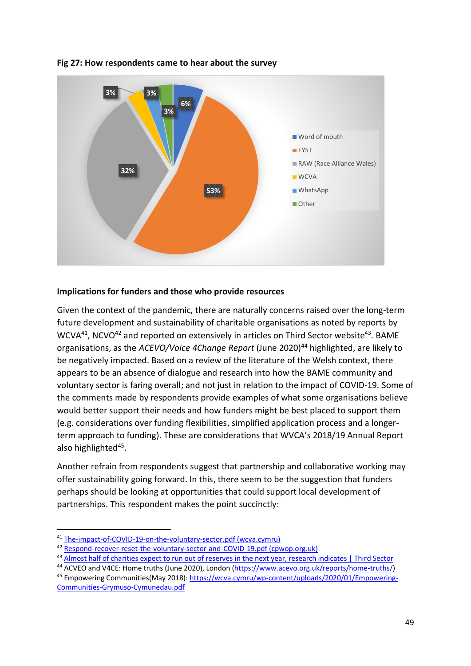

#### **Fig 27: How respondents came to hear about the survey**

#### **Implications for funders and those who provide resources**

Given the context of the pandemic, there are naturally concerns raised over the long-term future development and sustainability of charitable organisations as noted by reports by  $WCVA<sup>41</sup>$ , NCVO<sup>42</sup> and reported on extensively in articles on Third Sector website<sup>43</sup>. BAME organisations, as the *ACEVO/Voice 4Change Report* (June 2020)<sup>44</sup> highlighted, are likely to be negatively impacted. Based on a review of the literature of the Welsh context, there appears to be an absence of dialogue and research into how the BAME community and voluntary sector is faring overall; and not just in relation to the impact of COVID-19. Some of the comments made by respondents provide examples of what some organisations believe would better support their needs and how funders might be best placed to support them (e.g. considerations over funding flexibilities, simplified application process and a longerterm approach to funding). These are considerations that WVCA's 2018/19 Annual Report also highlighted<sup>45</sup>.

Another refrain from respondents suggest that partnership and collaborative working may offer sustainability going forward. In this, there seem to be the suggestion that funders perhaps should be looking at opportunities that could support local development of partnerships. This respondent makes the point succinctly:

<sup>41</sup> [The-impact-of-COVID-19-on-the-voluntary-sector.pdf \(wcva.cymru\)](https://wcva.cymru/wp-content/uploads/2020/11/The-impact-of-COVID-19-on-the-voluntary-sector.pdf)

<sup>42</sup> [Respond-recover-reset-the-voluntary-sector-and-COVID-19.pdf \(cpwop.org.uk\)](http://cpwop.org.uk/wp-content/uploads/sites/3/2020/10/Respond-recover-reset-the-voluntary-sector-and-COVID-19.pdf)

<sup>43</sup> [Almost half of charities expect to run out of reserves in the next year, research indicates | Third Sector](https://www.thirdsector.co.uk/almost-half-charities-expect-run-reserves-next-year-research-indicates/finance/article/1700630)

<sup>44</sup> ACVEO and V4CE: Home truths (June 2020), London [\(https://www.acevo.org.uk/reports/home-truths/\)](https://www.acevo.org.uk/reports/home-truths/)

<sup>45</sup> Empowering Communities(May 2018): [https://wcva.cymru/wp-content/uploads/2020/01/Empowering-](https://wcva.cymru/wp-content/uploads/2020/01/Empowering-Communities-Grymuso-Cymunedau.pdf)[Communities-Grymuso-Cymunedau.pdf](https://wcva.cymru/wp-content/uploads/2020/01/Empowering-Communities-Grymuso-Cymunedau.pdf)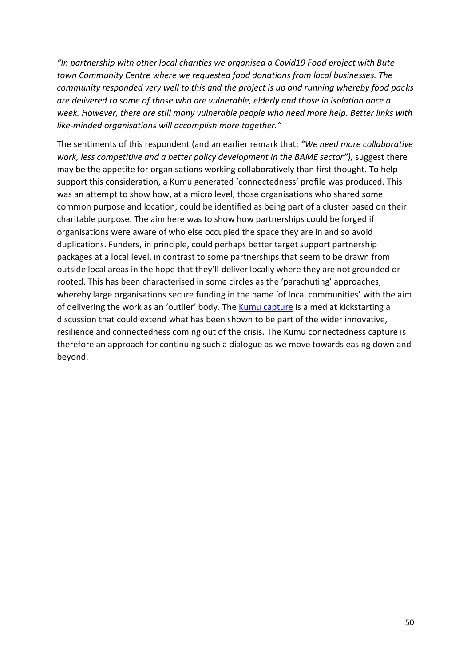*"In partnership with other local charities we organised a Covid19 Food project with Bute town Community Centre where we requested food donations from local businesses. The community responded very well to this and the project is up and running whereby food packs are delivered to some of those who are vulnerable, elderly and those in isolation once a week. However, there are still many vulnerable people who need more help. Better links with like-minded organisations will accomplish more together."*

The sentiments of this respondent (and an earlier remark that: *"We need more collaborative work, less competitive and a better policy development in the BAME sector"),* suggest there may be the appetite for organisations working collaboratively than first thought. To help support this consideration, a Kumu generated 'connectedness' profile was produced. This was an attempt to show how, at a micro level, those organisations who shared some common purpose and location, could be identified as being part of a cluster based on their charitable purpose. The aim here was to show how partnerships could be forged if organisations were aware of who else occupied the space they are in and so avoid duplications. Funders, in principle, could perhaps better target support partnership packages at a local level, in contrast to some partnerships that seem to be drawn from outside local areas in the hope that they'll deliver locally where they are not grounded or rooted. This has been characterised in some circles as the 'parachuting' approaches, whereby large organisations secure funding in the name 'of local communities' with the aim of delivering the work as an 'outlier' body. Th[e Kumu capture](https://embed.kumu.io/36dccd7eedc7a60797e3bcc51f484684#eyst-network) is aimed at kickstarting a discussion that could extend what has been shown to be part of the wider innovative, resilience and connectedness coming out of the crisis. The Kumu connectedness capture is therefore an approach for continuing such a dialogue as we move towards easing down and beyond.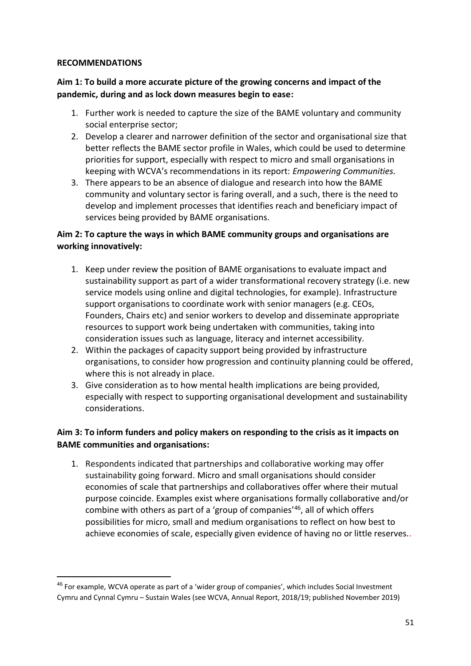#### **RECOMMENDATIONS**

# **Aim 1: To build a more accurate picture of the growing concerns and impact of the pandemic, during and as lock down measures begin to ease:**

- 1. Further work is needed to capture the size of the BAME voluntary and community social enterprise sector;
- 2. Develop a clearer and narrower definition of the sector and organisational size that better reflects the BAME sector profile in Wales, which could be used to determine priorities for support, especially with respect to micro and small organisations in keeping with WCVA's recommendations in its report: *Empowering Communities.*
- 3. There appears to be an absence of dialogue and research into how the BAME community and voluntary sector is faring overall, and a such, there is the need to develop and implement processes that identifies reach and beneficiary impact of services being provided by BAME organisations.

# **Aim 2: To capture the ways in which BAME community groups and organisations are working innovatively:**

- 1. Keep under review the position of BAME organisations to evaluate impact and sustainability support as part of a wider transformational recovery strategy (i.e. new service models using online and digital technologies, for example). Infrastructure support organisations to coordinate work with senior managers (e.g. CEOs, Founders, Chairs etc) and senior workers to develop and disseminate appropriate resources to support work being undertaken with communities, taking into consideration issues such as language, literacy and internet accessibility.
- 2. Within the packages of capacity support being provided by infrastructure organisations, to consider how progression and continuity planning could be offered, where this is not already in place.
- 3. Give consideration as to how mental health implications are being provided, especially with respect to supporting organisational development and sustainability considerations.

# **Aim 3: To inform funders and policy makers on responding to the crisis as it impacts on BAME communities and organisations:**

1. Respondents indicated that partnerships and collaborative working may offer sustainability going forward. Micro and small organisations should consider economies of scale that partnerships and collaboratives offer where their mutual purpose coincide. Examples exist where organisations formally collaborative and/or combine with others as part of a 'group of companies'<sup>46</sup> , all of which offers possibilities for micro, small and medium organisations to reflect on how best to achieve economies of scale, especially given evidence of having no or little reserves..

<sup>&</sup>lt;sup>46</sup> For example, WCVA operate as part of a 'wider group of companies', which includes Social Investment Cymru and Cynnal Cymru – Sustain Wales (see WCVA, Annual Report, 2018/19; published November 2019)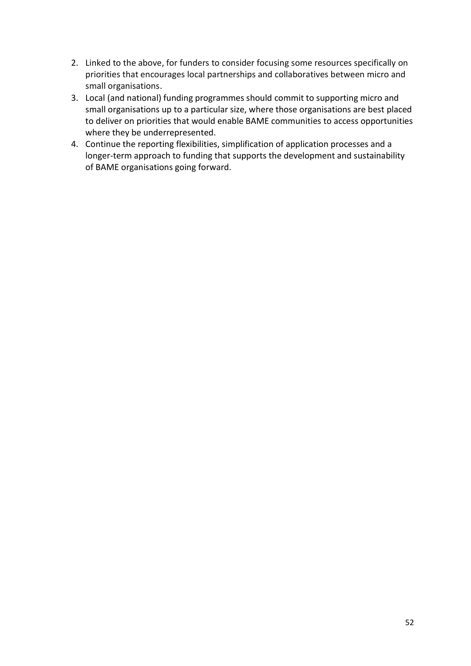- 2. Linked to the above, for funders to consider focusing some resources specifically on priorities that encourages local partnerships and collaboratives between micro and small organisations.
- 3. Local (and national) funding programmes should commit to supporting micro and small organisations up to a particular size, where those organisations are best placed to deliver on priorities that would enable BAME communities to access opportunities where they be underrepresented.
- 4. Continue the reporting flexibilities, simplification of application processes and a longer-term approach to funding that supports the development and sustainability of BAME organisations going forward.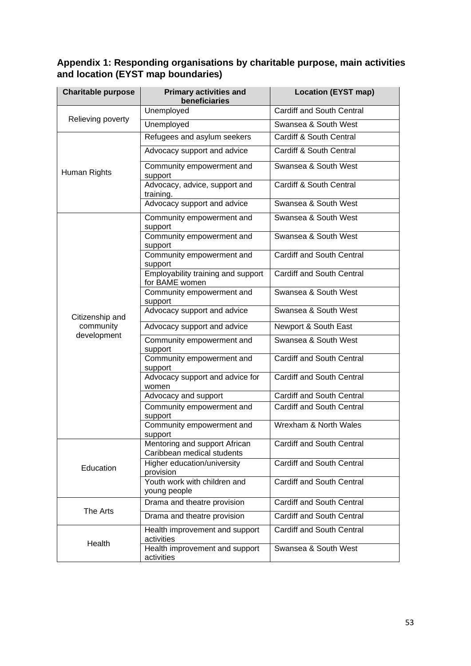# **Appendix 1: Responding organisations by charitable purpose, main activities and location (EYST map boundaries)**

| <b>Charitable purpose</b>                   | <b>Primary activities and</b><br>beneficiaries              | <b>Location (EYST map)</b>       |
|---------------------------------------------|-------------------------------------------------------------|----------------------------------|
| Relieving poverty                           | Unemployed                                                  | <b>Cardiff and South Central</b> |
|                                             | Unemployed                                                  | Swansea & South West             |
| Human Rights                                | Refugees and asylum seekers                                 | Cardiff & South Central          |
|                                             | Advocacy support and advice                                 | Cardiff & South Central          |
|                                             | Community empowerment and<br>support                        | Swansea & South West             |
|                                             | Advocacy, advice, support and<br>training.                  | Cardiff & South Central          |
|                                             | Advocacy support and advice                                 | Swansea & South West             |
| Citizenship and<br>community<br>development | Community empowerment and<br>support                        | Swansea & South West             |
|                                             | Community empowerment and<br>support                        | Swansea & South West             |
|                                             | Community empowerment and<br>support                        | <b>Cardiff and South Central</b> |
|                                             | Employability training and support<br>for BAME women        | <b>Cardiff and South Central</b> |
|                                             | Community empowerment and<br>support                        | Swansea & South West             |
|                                             | Advocacy support and advice                                 | Swansea & South West             |
|                                             | Advocacy support and advice                                 | Newport & South East             |
|                                             | Community empowerment and<br>support                        | Swansea & South West             |
|                                             | Community empowerment and<br>support                        | Cardiff and South Central        |
|                                             | Advocacy support and advice for<br>women                    | <b>Cardiff and South Central</b> |
|                                             | Advocacy and support                                        | Cardiff and South Central        |
|                                             | Community empowerment and<br>support                        | <b>Cardiff and South Central</b> |
|                                             | Community empowerment and<br>support                        | Wrexham & North Wales            |
| Education                                   | Mentoring and support African<br>Caribbean medical students | Cardiff and South Central        |
|                                             | Higher education/university<br>provision                    | <b>Cardiff and South Central</b> |
|                                             | Youth work with children and<br>young people                | <b>Cardiff and South Central</b> |
| The Arts                                    | Drama and theatre provision                                 | <b>Cardiff and South Central</b> |
|                                             | Drama and theatre provision                                 | <b>Cardiff and South Central</b> |
| Health                                      | Health improvement and support<br>activities                | Cardiff and South Central        |
|                                             | Health improvement and support<br>activities                | Swansea & South West             |